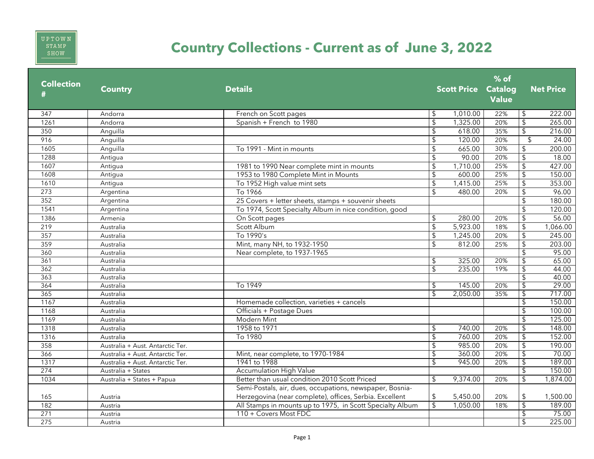

## **Country Collections - Current as of June 3, 2022**

| \$<br>\$<br>1,010.00<br>347<br>Andorra<br>French on Scott pages<br>22%                                                                                               | 222.00<br>265.00<br>216.00 |
|----------------------------------------------------------------------------------------------------------------------------------------------------------------------|----------------------------|
|                                                                                                                                                                      |                            |
| $\overline{\mathcal{L}}$<br>$\mathsf{\$}$<br>1,325.00<br>1261<br>Spanish + French to 1980<br>20%<br>Andorra                                                          |                            |
| $\overline{\mathcal{L}}$<br>$\mathsf{\$}$<br>35%<br>618.00<br>350<br>Anguilla                                                                                        |                            |
| $\mathfrak{L}$<br>120.00<br>$\mathfrak{L}$<br>916<br>20%<br>Anguilla                                                                                                 | 24.00                      |
| To 1991 - Mint in mounts<br>\$<br>665.00<br>\$<br>30%<br>1605<br>Anguilla                                                                                            | 200.00                     |
| \$<br>90.00<br>20%<br>$\sqrt{2}$<br>1288<br>Antigua                                                                                                                  | 18.00                      |
| $\overline{\mathcal{L}}$<br>1,710.00<br>25%<br>1607<br>1981 to 1990 Near complete mint in mounts<br>\$<br>Antiqua                                                    | 427.00                     |
| 25%<br>$\overline{\mathcal{L}}$<br>1608<br>1953 to 1980 Complete Mint in Mounts<br>\$<br>600.00<br>Antigua                                                           | 150.00                     |
| $\overline{\mathcal{L}}$<br>$\mathfrak{L}$<br>To 1952 High value mint sets<br>1,415.00<br>1610<br>25%<br>Antigua                                                     | 353.00                     |
| $\mathfrak{F}$<br>$\sqrt{2}$<br>480.00<br>To 1966<br>273<br>20%<br>Argentina                                                                                         | 96.00                      |
| $\mathfrak{S}$<br>25 Covers + letter sheets, stamps + souvenir sheets<br>352<br>Argentina                                                                            | 180.00                     |
| $\sqrt{2}$<br>1541<br>To 1974, Scott Specialty Album in nice condition, good<br>Argentina                                                                            | 120.00                     |
| $\mathsf{\$}$<br>$\sqrt{2}$<br>1386<br>280.00<br>20%<br>Armenia<br>On Scott pages                                                                                    | 56.00                      |
| $\mathsf{\$}$<br>5,923.00<br>$\sqrt{2}$<br>219<br>Scott Album<br>18%<br>Australia                                                                                    | 1,066.00                   |
| To 1990's<br>1,245.00<br>$\overline{\mathcal{E}}$<br>357<br>\$<br>20%<br>Australia                                                                                   | 245.00                     |
| $\overline{\mathcal{L}}$<br>$\mathfrak{L}$<br>812.00<br>359<br>Mint, many NH, to 1932-1950<br>25%<br>Australia                                                       | 203.00                     |
| $\overline{\mathcal{L}}$<br>360<br>Near complete, to 1937-1965<br>Australia                                                                                          | 95.00                      |
| $\overline{\mathcal{E}}$<br>361<br>\$<br>325.00<br>20%<br>Australia                                                                                                  | 65.00                      |
| 362<br>$\mathfrak{L}$<br>235.00<br>19%<br>$\overline{\mathcal{E}}$<br>Australia                                                                                      | 44.00                      |
| \$<br>363<br>Australia                                                                                                                                               | 40.00                      |
| 364<br>To 1949<br>145.00<br>20%<br>\$<br>Australia<br>\$                                                                                                             | 29.00                      |
| \$<br>2,050.00<br>$\overline{\mathfrak{s}}$<br>365<br>35%<br>Australia                                                                                               | 717.00                     |
| $\overline{\mathcal{L}}$<br>1167<br>Homemade collection, varieties + cancels<br>Australia                                                                            | 150.00                     |
| 1168<br>Australia<br>Officials + Postage Dues                                                                                                                        | 100.00                     |
| $\mathsf{\$}$<br>1169<br>Modern Mint<br>Australia                                                                                                                    | 125.00                     |
| \$<br>1318<br>1958 to 1971<br>\$<br>740.00<br>20%<br>Australia                                                                                                       | 148.00                     |
| $\overline{\mathcal{L}}$<br>To 1980<br>$\mathsf{\$}$<br>760.00<br>20%<br>1316<br>Australia                                                                           | 152.00                     |
| $\overline{\mathcal{S}}$<br>358<br>$\mathsf{\$}$<br>985.00<br>20%<br>Australia + Aust. Antarctic Ter.                                                                | 190.00                     |
| $\overline{\mathcal{L}}$<br>366<br>\$<br>360.00<br>20%<br>Mint, near complete, to 1970-1984<br>Australia + Aust. Antarctic Ter.                                      | 70.00                      |
| 20%<br>1317<br>1941 to 1988<br>945.00<br>\$<br>Australia + Aust. Antarctic Ter.<br>\$                                                                                | 189.00                     |
| $\overline{\mathcal{L}}$<br>274<br><b>Accumulation High Value</b><br>Australia + States                                                                              | 150.00                     |
| Better than usual condition 2010 Scott Priced<br>$\overline{\mathcal{S}}$<br>1034<br>$\mathfrak{L}$<br>9,374.00<br>20%<br>Australia + States + Papua                 | 1,874.00                   |
| Semi-Postals, air, dues, occupations, newspaper, Bosnia-<br>\$<br>Herzegovina (near complete), offices, Serbia. Excellent<br>\$<br>5,450.00<br>20%<br>165<br>Austria | 1,500.00                   |
| $\overline{\mathcal{L}}$<br>$\mathsf{\$}$<br>All Stamps in mounts up to 1975, in Scott Specialty Album<br>1,050.00<br>182<br>18%<br>Austria                          | 189.00                     |
| 271<br>$\overline{\mathcal{L}}$<br>110 + Covers Most FDC<br>Austria                                                                                                  | 75.00                      |
| \$<br>275<br>Austria                                                                                                                                                 | 225.00                     |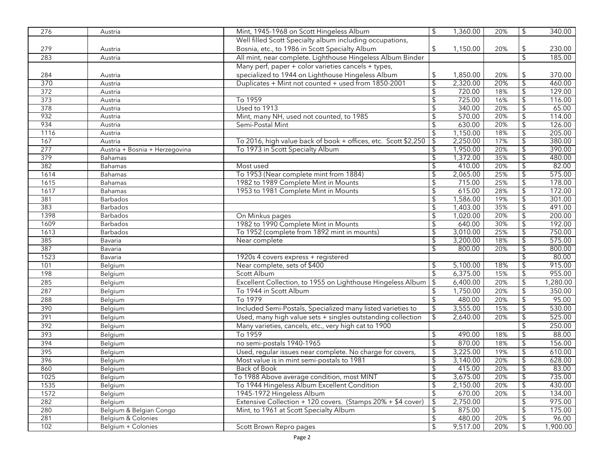| 276              | Austria                        | Mint, 1945-1968 on Scott Hingeless Album                                                                 | \$                       | 1,360.00             | 20% | $\sqrt{2}$                | 340.00           |
|------------------|--------------------------------|----------------------------------------------------------------------------------------------------------|--------------------------|----------------------|-----|---------------------------|------------------|
|                  |                                | Well filled Scott Specialty album including occupations,                                                 |                          |                      |     |                           |                  |
| 279              | Austria                        | Bosnia, etc., to 1986 in Scott Specialty Album                                                           | \$                       | 1,150.00             | 20% | \$                        | 230.00           |
| 283              | Austria                        | All mint, near complete. Lighthouse Hingeless Album Binder                                               |                          |                      |     | $\overline{\mathcal{L}}$  | 185.00           |
|                  |                                | Many perf, paper + color varieties cancels + types,                                                      |                          |                      |     |                           |                  |
| 284              |                                |                                                                                                          |                          |                      | 20% |                           |                  |
| 370              | Austria                        | specialized to 1944 on Lighthouse Hingeless Album<br>Duplicates + Mint not counted + used from 1850-2001 | \$<br>\$                 | 1,850.00<br>2,320.00 | 20% | \$<br>\$                  | 370.00<br>460.00 |
| $\overline{372}$ | Austria                        |                                                                                                          |                          |                      | 18% |                           |                  |
|                  | Austria                        |                                                                                                          | \$                       | 720.00               |     | $\overline{\mathcal{L}}$  | 129.00           |
| 373              | Austria                        | To 1959<br>Used to 1913                                                                                  | \$                       | 725.00<br>340.00     | 16% | \$                        | 116.00           |
| 378              | Austria                        |                                                                                                          | \$                       |                      | 20% | \$                        | 65.00            |
| 932              | Austria                        | Mint, many NH, used not counted, to 1985                                                                 | \$                       | 570.00               | 20% | $\sqrt{2}$                | 114.00           |
| 934              | Austria                        | Semi-Postal Mint                                                                                         | \$                       | 630.00               | 20% | $\overline{\mathfrak{s}}$ | 126.00           |
| 1116             | Austria                        |                                                                                                          | \$                       | 1,150.00             | 18% | \$                        | 205.00           |
| 167              | Austria                        | To 2016, high value back of book + offices, etc. Scott \$2,250                                           | \$                       | 2,250.00             | 17% | $\overline{\$}$           | 380.00           |
| 277              | Austria + Bosnia + Herzegovina | To 1973 in Scott Specialty Album                                                                         |                          | 1,950.00             | 20% | \$                        | 390.00           |
| 379              | Bahamas                        |                                                                                                          | \$                       | 1,372.00             | 35% | \$                        | 480.00           |
| 382              | Bahamas                        | Most used                                                                                                | \$                       | 410.00               | 20% | \$                        | 82.00            |
| 1614             | Bahamas                        | To 1953 (Near complete mint from 1884)                                                                   | \$                       | 2,065.00             | 25% | $\sqrt{2}$                | 575.00           |
| 1615             | Bahamas                        | 1982 to 1989 Complete Mint in Mounts                                                                     | $\overline{\mathcal{E}}$ | 715.00               | 25% | $\overline{\mathcal{E}}$  | 178.00           |
| 1617             | <b>Bahamas</b>                 | 1953 to 1981 Complete Mint in Mounts                                                                     | \$                       | 615.00               | 28% | \$                        | 172.00           |
| 381              | <b>Barbados</b>                |                                                                                                          |                          | 1,586.00             | 19% | $\sqrt{2}$                | 301.00           |
| 383              | <b>Barbados</b>                |                                                                                                          | \$                       | 1,403.00             | 35% | $\overline{\mathfrak{s}}$ | 491.00           |
| 1398             | <b>Barbados</b>                | On Minkus pages                                                                                          | \$                       | 1,020.00             | 20% | \$                        | 200.00           |
| 1609             | <b>Barbados</b>                | 1982 to 1990 Complete Mint in Mounts                                                                     | \$                       | 640.00               | 30% | $\overline{\mathfrak{s}}$ | 192.00           |
| 1613             | <b>Barbados</b>                | To 1952 (complete from 1892 mint in mounts)                                                              | \$                       | 3,010.00             | 25% | $\overline{\mathcal{E}}$  | 750.00           |
| 385              | Bavaria                        | Near complete                                                                                            | \$                       | 3,200.00             | 18% | \$                        | 575.00           |
| 387              | Bavaria                        |                                                                                                          | \$                       | 800.00               | 20% | \$                        | 800.00           |
| 1523             | Bavaria                        | 1920s 4 covers express + registered                                                                      |                          |                      |     | \$                        | 80.00            |
| 101              | Belgium                        | Near complete, sets of \$400                                                                             | S                        | 5,100.00             | 18% | \$                        | 915.00           |
| 198              | Belgium                        | Scott Album                                                                                              | \$                       | 6,375.00             | 15% | $\sqrt{2}$                | 955.00           |
| 285              | Belgium                        | Excellent Collection, to 1955 on Lighthouse Hingeless Album                                              | $\sqrt{2}$               | 6,400.00             | 20% | $\sqrt{2}$                | 1,280.00         |
| 287              | Belgium                        | To 1944 in Scott Album                                                                                   | \$                       | 1,750.00             | 20% | $\sqrt{2}$                | 350.00           |
| 288              | Belgium                        | To 1979                                                                                                  | $\mathsf{\$}$            | 480.00               | 20% | $\sqrt{2}$                | 95.00            |
| 390              | Belgium                        | Included Semi-Postals, Specialized many listed varieties to                                              | \$                       | 3,555.00             | 15% | $\sqrt{2}$                | 530.00           |
|                  |                                |                                                                                                          |                          |                      |     |                           |                  |
| 391              | Belgium                        | Used, many high value sets + singles outstanding collection                                              | $\frac{1}{2}$            | 2,640.00             | 20% | $\sqrt{2}$                | 525.00           |
| 392              | Belgium                        | Many varieties, cancels, etc., very high cat to 1900                                                     |                          |                      |     | $\mathfrak{L}$            | 250.00           |
| 393              | Belgium                        | To 1959                                                                                                  | \$                       | 490.00               | 18% | \$                        | 88.00            |
| 394              | Belgium                        | no semi-postals 1940-1965                                                                                | \$                       | 870.00               | 18% | $\sqrt{2}$                | 156.00           |
| 395              | Belgium                        | Used, regular issues near complete. No charge for covers,                                                | $\sqrt{2}$               | 3,225.00             | 19% | $\sqrt{2}$                | 610.00           |
| 396              | Belgium                        | Most value is in mint semi-postals to 1981                                                               | \$                       | 3,140.00             | 20% | $\mathfrak{L}$            | 628.00           |
| 860              | Belgium                        | Back of Book                                                                                             | \$                       | 415.00               | 20% | \$                        | 83.00            |
| 1025             | Belgium                        | To 1988 Above average condition, most MINT                                                               | $\frac{1}{2}$            | 3,675.00             | 20% | $\sqrt{2}$                | 735.00           |
| 1535             | Belgium                        | To 1944 Hingeless Album Excellent Condition                                                              | \$                       | 2,150.00             | 20% | \$                        | 430.00           |
| 1572             | Belgium                        | 1945-1972 Hingeless Album                                                                                | \$                       | 670.00               | 20% | \$                        | 134.00           |
| 282              | Belgium                        | Extensive Collection + 120 covers. (Stamps 20% + \$4 cover)                                              | $\overline{\mathcal{G}}$ | 2,750.00             |     | $\overline{\mathfrak{s}}$ | 975.00           |
| 280              | Belgium & Belgian Congo        | Mint, to 1961 at Scott Specialty Album                                                                   | \$                       | 875.00               |     | \$                        | 175.00           |
| 281              | Belgium & Colonies             |                                                                                                          | \$                       | 480.00               | 20% | \$                        | 96.00            |
| 102              | Belgium + Colonies             | Scott Brown Repro pages                                                                                  | \$                       | 9,517.00             | 20% | \$                        | 1,900.00         |
|                  |                                |                                                                                                          |                          |                      |     |                           |                  |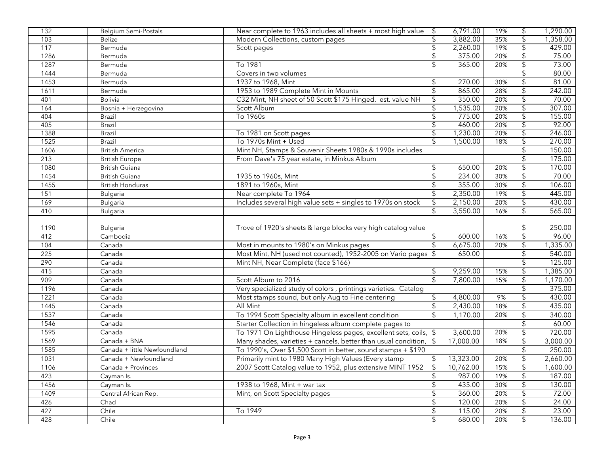| 132  | <b>Belgium Semi-Postals</b>  | Near complete to 1963 includes all sheets + most high value        | $\overline{\phantom{a}}$ | 6,791.00  | 19% | \$                       | 1,290.00 |
|------|------------------------------|--------------------------------------------------------------------|--------------------------|-----------|-----|--------------------------|----------|
| 103  | <b>Belize</b>                | Modern Collections, custom pages                                   | \$                       | 3,882.00  | 35% | \$                       | 1,358.00 |
| 117  | Bermuda                      | Scott pages                                                        | \$                       | 2,260.00  | 19% | \$                       | 429.00   |
| 1286 | Bermuda                      |                                                                    | \$                       | 375.00    | 20% | \$                       | 75.00    |
| 1287 | Bermuda                      | To 1981                                                            | \$                       | 365.00    | 20% | \$                       | 73.00    |
| 1444 | Bermuda                      | Covers in two volumes                                              |                          |           |     | \$                       | 80.00    |
| 1453 | Bermuda                      | 1937 to 1968, Mint                                                 | \$                       | 270.00    | 30% | \$                       | 81.00    |
| 1611 | Bermuda                      | 1953 to 1989 Complete Mint in Mounts                               | \$                       | 865.00    | 28% | \$                       | 242.00   |
| 401  | <b>Bolivia</b>               | C32 Mint, NH sheet of 50 Scott \$175 Hinged. est. value NH         | \$                       | 350.00    | 20% | \$                       | 70.00    |
| 164  | Bosnia + Herzegovina         | Scott Album                                                        | \$                       | 1,535.00  | 20% | \$                       | 307.00   |
| 404  | <b>Brazil</b>                | To 1960s                                                           | \$                       | 775.00    | 20% | $\overline{\mathcal{E}}$ | 155.00   |
| 405  | <b>Brazil</b>                |                                                                    |                          | 460.00    | 20% | \$                       | 92.00    |
| 1388 | <b>Brazil</b>                | To 1981 on Scott pages                                             | \$                       | 1,230.00  | 20% | \$                       | 246.00   |
| 1525 | Brazil                       | To 1970s Mint + Used                                               | \$                       | 1,500.00  | 18% | \$                       | 270.00   |
| 1606 | <b>British America</b>       | Mint NH, Stamps & Souvenir Sheets 1980s & 1990s includes           |                          |           |     | \$                       | 150.00   |
| 213  | <b>British Europe</b>        | From Dave's 75 year estate, in Minkus Album                        |                          |           |     | \$                       | 175.00   |
| 1080 | British Guiana               |                                                                    | \$                       | 650.00    | 20% | \$                       | 170.00   |
| 1454 | <b>British Guiana</b>        | 1935 to 1960s, Mint                                                | \$                       | 234.00    | 30% | \$                       | 70.00    |
| 1455 | <b>British Honduras</b>      | 1891 to 1960s, Mint                                                |                          | 355.00    | 30% | \$                       | 106.00   |
| 151  | <b>Bulgaria</b>              | Near complete To 1964                                              | \$                       | 2,350.00  | 19% | \$                       | 445.00   |
| 169  | <b>Bulgaria</b>              | Includes several high value sets + singles to 1970s on stock       | \$                       | 2,150.00  | 20% | \$                       | 430.00   |
| 410  | <b>Bulgaria</b>              |                                                                    | \$                       | 3,550.00  | 16% | $\sqrt{2}$               | 565.00   |
|      |                              |                                                                    |                          |           |     |                          |          |
| 1190 | <b>Bulgaria</b>              | Trove of 1920's sheets & large blocks very high catalog value      |                          |           |     | \$                       | 250.00   |
| 412  | Cambodia                     |                                                                    | \$                       | 600.00    | 16% | \$                       | 96.00    |
| 104  | Canada                       | Most in mounts to 1980's on Minkus pages                           | $\mathfrak{L}$           | 6,675.00  | 20% | \$                       | 1,335.00 |
| 225  | Canada                       | Most Mint, NH (used not counted), 1952-2005 on Vario pages         | \$                       | 650.00    |     | $\mathfrak{S}$           | 540.00   |
| 290  | Canada                       | Mint NH, Near Complete (face \$166)                                |                          |           |     | $\sqrt{2}$               | 125.00   |
| 415  | Canada                       |                                                                    |                          | 9,259.00  | 15% | $\boldsymbol{\theta}$    | 1,385.00 |
| 909  | Canada                       | Scott Album to 2016                                                | $\mathcal{L}$            | 7,800.00  | 15% | $\sqrt{2}$               | 1,170.00 |
| 1196 | Canada                       | Very specialized study of colors, printings varieties. Catalog     |                          |           |     | \$                       | 375.00   |
| 1221 | Canada                       | Most stamps sound, but only Aug to Fine centering                  | \$                       | 4,800.00  | 9%  | $\sqrt{2}$               | 430.00   |
| 1445 | Canada                       | All Mint                                                           | \$                       | 2,430.00  | 18% | \$                       | 435.00   |
| 1537 | Canada                       | To 1994 Scott Specialty album in excellent condition               | \$                       | 1,170.00  | 20% | \$                       | 340.00   |
| 1546 | Canada                       | Starter Collection in hingeless album complete pages to            |                          |           |     | \$                       | 60.00    |
| 1595 | Canada                       | To 1971 On Lighthouse Hingeless pages, excellent sets, coils,   \$ |                          | 3,600.00  | 20% | $\boldsymbol{\theta}$    | 720.00   |
| 1569 | Canada + BNA                 | Many shades, varieties + cancels, better than usual condition,     |                          | 17,000.00 | 18% | \$                       | 3,000.00 |
| 1585 | Canada + little Newfoundland | To 1990's, Over \$1,500 Scott in better, sound stamps + \$190      |                          |           |     | \$                       | 250.00   |
| 1031 | Canada + Newfoundland        | Primarily mint to 1980 Many High Values (Every stamp               | \$                       | 13,323.00 | 20% | $\sqrt{2}$               | 2,660.00 |
| 1106 | Canada + Provinces           | 2007 Scott Catalog value to 1952, plus extensive MINT 1952         | \$                       | 10,762.00 | 15% | $\sqrt{2}$               | 1,600.00 |
| 423  | Cayman Is.                   |                                                                    | \$                       | 987.00    | 19% | $\sqrt{2}$               | 187.00   |
| 1456 | Cayman Is.                   | 1938 to 1968, Mint + war tax                                       | $\overline{\mathcal{L}}$ | 435.00    | 30% | $\sqrt{2}$               | 130.00   |
| 1409 | Central African Rep.         | Mint, on Scott Specialty pages                                     | \$                       | 360.00    | 20% | \$                       | 72.00    |
| 426  | Chad                         |                                                                    | $\frac{1}{2}$            | 120.00    | 20% | $\mathfrak{S}$           | 24.00    |
|      |                              | To 1949                                                            |                          |           |     |                          |          |
| 427  | Chile                        |                                                                    | $\updownarrow$           | 115.00    | 20% | $\boldsymbol{\theta}$    | 23.00    |
| 428  | Chile                        |                                                                    | $\sqrt[6]{\frac{1}{2}}$  | 680.00    | 20% | $\sqrt{2}$               | 136.00   |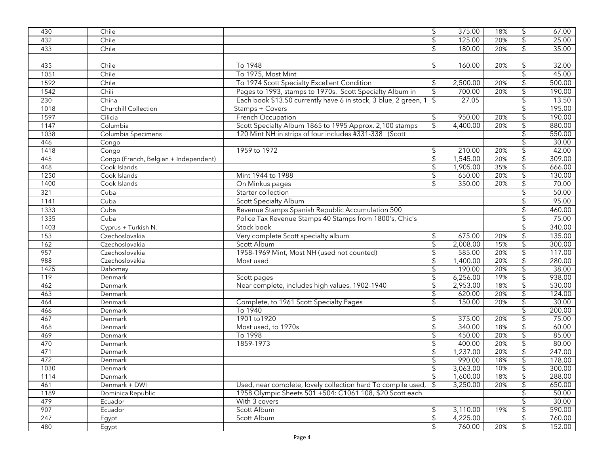| 430  | Chile                                 |                                                               | $\sqrt{2}$               | 375.00   | 18% | \$                        | 67.00  |
|------|---------------------------------------|---------------------------------------------------------------|--------------------------|----------|-----|---------------------------|--------|
| 432  | Chile                                 |                                                               | $\frac{1}{2}$            | 125.00   | 20% | $\sqrt{2}$                | 25.00  |
| 433  | Chile                                 |                                                               | $\mathfrak{D}$           | 180.00   | 20% | $\updownarrow$            | 35.00  |
|      |                                       |                                                               |                          |          |     |                           |        |
| 435  | Chile                                 | To 1948                                                       | \$                       | 160.00   | 20% | $\sqrt{2}$                | 32.00  |
| 1051 | Chile                                 | To 1975, Most Mint                                            |                          |          |     | $\overline{\mathcal{S}}$  | 45.00  |
| 1592 | Chile                                 | To 1974 Scott Specialty Excellent Condition                   | \$                       | 2,500.00 | 20% | $\sqrt{2}$                | 500.00 |
| 1542 | Chili                                 | Pages to 1993, stamps to 1970s. Scott Specialty Album in      | $\overline{\mathcal{L}}$ | 700.00   | 20% | $\overline{\mathcal{E}}$  | 190.00 |
| 230  | China                                 | Each book \$13.50 currently have 6 in stock, 3 blue, 2 green, | \$                       | 27.05    |     | $\sqrt{2}$                | 13.50  |
| 1018 | Churchill Collection                  | Stamps + Covers                                               |                          |          |     | \$                        | 195.00 |
| 1597 | Cilicia                               | French Occupation                                             | \$                       | 950.00   | 20% | $\boldsymbol{\theta}$     | 190.00 |
| 1147 | Columbia                              | Scott Specialty Album 1865 to 1995 Approx. 2,100 stamps       | \$                       | 4,400.00 | 20% | \$                        | 880.00 |
| 1038 | Columbia Specimens                    | 120 Mint NH in strips of four includes #331-338 (Scott        |                          |          |     | $\overline{\mathfrak{s}}$ | 550.00 |
| 446  | Congo                                 |                                                               |                          |          |     | \$                        | 30.00  |
| 1418 | Congo                                 | 1959 to 1972                                                  |                          | 210.00   | 20% | £                         | 42.00  |
| 445  | Congo (French, Belgian + Independent) |                                                               | \$                       | 1,545.00 | 20% | $\overline{\mathcal{E}}$  | 309.00 |
| 448  | Cook Islands                          |                                                               | \$                       | 1,905.00 | 35% | $\sqrt{2}$                | 666.00 |
| 1250 | Cook Islands                          | Mint 1944 to 1988                                             | \$                       | 650.00   | 20% | \$                        | 130.00 |
| 1400 | Cook Islands                          | On Minkus pages                                               | \$                       | 350.00   | 20% | \$                        | 70.00  |
| 321  | Cuba                                  | Starter collection                                            |                          |          |     | $\sqrt{2}$                | 50.00  |
| 1141 | Cuba                                  | <b>Scott Specialty Album</b>                                  |                          |          |     | $\sqrt{2}$                | 95.00  |
| 1333 | Cuba                                  | Revenue Stamps Spanish Republic Accumulation 500              |                          |          |     | $\frac{1}{2}$             | 460.00 |
| 1335 | Cuba                                  | Police Tax Revenue Stamps 40 Stamps from 1800's, Chic's       |                          |          |     | $\sqrt{2}$                | 75.00  |
| 1403 | Cyprus + Turkish N.                   | Stock book                                                    |                          |          |     | $\frac{1}{2}$             | 340.00 |
| 153  | Czechoslovakia                        | Very complete Scott specialty album                           | \$                       | 675.00   | 20% | \$                        | 135.00 |
| 162  | Czechoslovakia                        | Scott Album                                                   | $\overline{\$}$          | 2,008.00 | 15% | $\overline{\mathfrak{s}}$ | 300.00 |
| 957  | Czechoslovakia                        | 1958-1969 Mint, Most NH (used not counted)                    | \$                       | 585.00   | 20% | \$                        | 117.00 |
| 988  | Czechoslovakia                        | Most used                                                     | \$                       | 1,400.00 | 20% | \$                        | 280.00 |
| 1425 | Dahomey                               |                                                               | \$                       | 190.00   | 20% | $\overline{\mathfrak{s}}$ | 38.00  |
| 119  | Denmark                               | Scott pages                                                   | \$                       | 6,256.00 | 19% | $\overline{\mathfrak{s}}$ | 938.00 |
| 462  | Denmark                               | Near complete, includes high values, 1902-1940                | \$                       | 2,953.00 | 18% | $\sqrt{2}$                | 530.00 |
| 463  | Denmark                               |                                                               | $\overline{\mathcal{E}}$ | 620.00   | 20% | $\overline{\mathcal{E}}$  | 124.00 |
| 464  | Denmark                               | Complete, to 1961 Scott Specialty Pages                       | \$                       | 150.00   | 20% | \$                        | 30.00  |
| 466  | Denmark                               | To 1940                                                       |                          |          |     | \$                        | 200.00 |
| 467  | Denmark                               | 1901 to 1920                                                  | \$                       | 375.00   | 20% | $\overline{\mathfrak{s}}$ | 75.00  |
| 468  | Denmark                               | Most used, to 1970s                                           | \$                       | 340.00   | 18% | $\sqrt{2}$                | 60.00  |
| 469  | Denmark                               | To 1998                                                       | \$                       | 450.00   | 20% | $\overline{\mathcal{E}}$  | 85.00  |
| 470  | Denmark                               | 1859-1973                                                     | \$                       | 400.00   | 20% | $\overline{\$}$           | 80.00  |
| 471  | Denmark                               |                                                               | \$                       | 1,237.00 | 20% | $\overline{\mathfrak{s}}$ | 247.00 |
| 472  | Denmark                               |                                                               | ፍ                        | 990.00   | 18% | $\overline{\mathcal{L}}$  | 178.00 |
| 1030 | Denmark                               |                                                               | \$                       | 3,063.00 | 10% | $\sqrt{2}$                | 300.00 |
| 1114 | Denmark                               |                                                               | $\overline{\mathcal{S}}$ | 1,600.00 | 18% | \$                        | 288.00 |
| 461  | Denmark + DWI                         | Used, near complete, lovely collection hard To compile used,  | \$                       | 3,250.00 | 20% | $\overline{\mathfrak{s}}$ | 650.00 |
| 1189 | Dominica Republic                     | 1958 Olympic Sheets 501 +504: C1061 108, \$20 Scott each      |                          |          |     | \$                        | 50.00  |
| 479  | Ecuador                               | With 3 covers                                                 |                          |          |     | $\overline{\mathfrak{s}}$ | 30.00  |
| 907  | Ecuador                               | Scott Album                                                   | \$                       | 3,110.00 | 19% | $\overline{\mathfrak{s}}$ | 590.00 |
| 247  | Egypt                                 | Scott Album                                                   | \$                       | 4,225.00 |     | \$                        | 760.00 |
| 480  | Egypt                                 |                                                               | \$                       | 760.00   | 20% | \$                        | 152.00 |
|      |                                       |                                                               |                          |          |     |                           |        |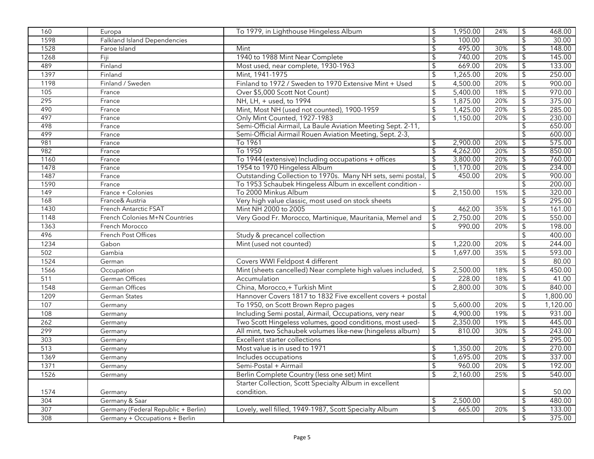| 160              | Europa                              | To 1979, in Lighthouse Hingeless Album                       | $\sqrt[6]{\frac{1}{2}}$   | 1,950.00 | 24% | $\sqrt{2}$                | 468.00          |
|------------------|-------------------------------------|--------------------------------------------------------------|---------------------------|----------|-----|---------------------------|-----------------|
| 1598             | <b>Falkland Island Dependencies</b> |                                                              | $\sqrt{2}$                | 100.00   |     | $\sqrt[6]{\frac{1}{2}}$   | 30.00           |
| 1528             | Faroe Island                        | Mint                                                         | \$                        | 495.00   | 30% | $\overline{\mathbf{e}}$   | 148.00          |
| 1268             | Fiji                                | 1940 to 1988 Mint Near Complete                              | $\sqrt{2}$                | 740.00   | 20% | $\overline{\mathbf{G}}$   | 145.00          |
| 489              | Finland                             | Most used, near complete, 1930-1963                          | $\boldsymbol{\mathsf{S}}$ | 669.00   | 20% | $\updownarrow$            | 133.00          |
| 1397             | Finland                             | Mint, 1941-1975                                              | \$                        | 1,265.00 | 20% | $\overline{\mathbf{G}}$   | 250.00          |
| 1198             | Finland / Sweden                    | Finland to 1972 / Sweden to 1970 Extensive Mint + Used       | $\sqrt{2}$                | 4,500.00 | 20% | $\overline{\mathbf{G}}$   | 900.00          |
| 105              | France                              | Over \$5,000 Scott Not Count)                                | \$                        | 5,400.00 | 18% | $\overline{\mathbf{G}}$   | 970.00          |
| 295              | France                              | NH, LH, + used, to 1994                                      | $\sqrt{2}$                | 1,875.00 | 20% | $\updownarrow$            | 375.00          |
| 490              | France                              | Mint, Most NH (used not counted), 1900-1959                  | $\boldsymbol{\mathsf{S}}$ | 1,425.00 | 20% | $\boldsymbol{\mathsf{L}}$ | 285.00          |
| 497              | France                              | Only Mint Counted, 1927-1983                                 | $\mathfrak{L}$            | 1,150.00 | 20% | $\overline{\mathcal{E}}$  | 230.00          |
| 498              | France                              | Semi-Official Airmail, La Baule Aviation Meeting Sept. 2-11, |                           |          |     | \$                        | 650.00          |
| 499              | France                              | Semi-Official Airmail Rouen Aviation Meeting, Sept. 2-3,     |                           |          |     | $\overline{\mathcal{G}}$  | 600.00          |
| 981              | France                              | To 1961                                                      | \$                        | 2,900.00 | 20% | $\overline{\mathcal{G}}$  | 575.00          |
| 982              | France                              | To 1950                                                      | \$                        | 4,262.00 | 20% | $\overline{\mathfrak{s}}$ | 850.00          |
| 1160             | France                              | To 1944 (extensive) Including occupations + offices          | \$                        | 3,800.00 | 20% | $\overline{\mathcal{L}}$  | 760.00          |
| 1478             | France                              | 1954 to 1970 Hingeless Album                                 | \$                        | 1,170.00 | 20% | $\overline{\mathcal{L}}$  | 234.00          |
| 1487             | France                              | Outstanding Collection to 1970s. Many NH sets, semi postal,  | $\overline{\phantom{a}}$  | 450.00   | 20% | $\overline{\mathfrak{s}}$ | 900.00          |
| 1590             | France                              | To 1953 Schaubek Hingeless Album in excellent condition -    |                           |          |     | $\sqrt{2}$                | 200.00          |
| $\overline{149}$ | France + Colonies                   | To 2000 Minkus Album                                         | \$                        | 2,150.00 | 15% | $\overline{\mathcal{L}}$  | 320.00          |
| 168              | France& Austria                     | Very high value classic, most used on stock sheets           |                           |          |     | $\overline{\mathcal{L}}$  | 295.00          |
| 1430             | French Antarctic FSAT               | Mint NH 2000 to 2005                                         | \$                        | 462.00   | 35% | $\overline{\mathcal{L}}$  | 161.00          |
| 1148             | French Colonies M+N Countries       | Very Good Fr. Morocco, Martinique, Mauritania, Memel and     | $\sqrt{2}$                | 2,750.00 | 20% | $\overline{\mathfrak{s}}$ | 550.00          |
| 1363             | French Morocco                      |                                                              | $\mathfrak{L}$            | 990.00   | 20% | $\overline{\mathcal{G}}$  | 198.00          |
| 496              | French Post Offices                 | Study & precancel collection                                 |                           |          |     | $\overline{\mathbf{G}}$   | 400.00          |
| 1234             | Gabon                               | Mint (used not counted)                                      | \$                        | 1,220.00 | 20% | $\updownarrow$            | 244.00          |
| 502              | Gambia                              |                                                              | \$                        | 1,697.00 | 35% | $\updownarrow$            | 593.00          |
| 1524             | German                              | Covers WWI Feldpost 4 different                              |                           |          |     | $\updownarrow$            | 80.00           |
| 1566             | Occupation                          | Mint (sheets cancelled) Near complete high values included,  | $\sqrt{2}$                | 2,500.00 | 18% | \$                        | 450.00          |
| 511              | German Offices                      | Accumulation                                                 | $\sqrt{2}$                | 228.00   | 18% | $\updownarrow$            | 41.00           |
| 1548             | German Offices                      | China, Morocco,+ Turkish Mint                                | $\mathsf{\$}$             | 2,800.00 | 30% | $$\mathfrak{s}$$          | 840.00          |
| 1209             | German States                       | Hannover Covers 1817 to 1832 Five excellent covers + postal  |                           |          |     | $\overline{\mathbf{G}}$   | 1,800.00        |
| 107              | Germany                             | To 1950, on Scott Brown Repro pages                          | \$                        | 5,600.00 | 20% | $\boldsymbol{\mathsf{L}}$ | 1,120.00        |
| 108              | Germany                             | Including Semi postal, Airmail, Occupations, very near       | $\sqrt{2}$                | 4,900.00 | 19% | $\updownarrow$            | 931.00          |
| 262              | Germany                             | Two Scott Hingeless volumes, good conditions, most used-     | $\overline{\mathcal{L}}$  | 2,350.00 | 19% | $\overline{\mathcal{G}}$  | 445.00          |
| 299              | Germany                             | All mint, two Schaubek volumes like-new (hingeless album)    | \$                        | 810.00   | 30% | $\overline{\mathfrak{s}}$ | 243.00          |
| 303              | Germany                             | <b>Excellent starter collections</b>                         |                           |          |     | $\overline{\mathcal{L}}$  | 295.00          |
| 513              | Germany                             | Most value is in used to 1971                                | \$                        | 1,350.00 | 20% | \$                        | 270.00          |
| 1369             | Germany                             | Includes occupations                                         | $\sqrt{2}$                | 1,695.00 | 20% | $\overline{\mathfrak{s}}$ | 337.00          |
| 1371             | Germany                             | Semi-Postal + Airmail                                        | \$                        | 960.00   | 20% | $\sqrt{2}$                | 192.00          |
| 1526             | Germany                             | Berlin Complete Country (less one set) Mint                  | $\mathfrak{L}$            | 2,160.00 | 25% | $\mathsf{\$}$             | 540.00          |
|                  |                                     | Starter Collection, Scott Specialty Album in excellent       |                           |          |     |                           |                 |
| 1574<br>304      | Germany<br>Germany & Saar           | condition.                                                   | \$                        | 2,500.00 |     | \$<br>\$                  | 50.00<br>480.00 |
| 307              | Germany (Federal Republic + Berlin) | Lovely, well filled, 1949-1987, Scott Specialty Album        | \$                        | 665.00   | 20% | \$                        | 133.00          |
|                  |                                     |                                                              |                           |          |     |                           |                 |
| 308              | Germany + Occupations + Berlin      |                                                              |                           |          |     | \$                        | 375.00          |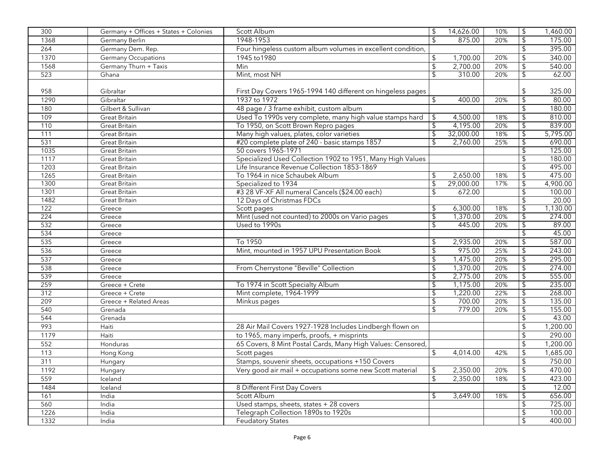| $\mathfrak{L}$<br>1948-1953<br>$\boldsymbol{\theta}$<br>875.00<br>1368<br>Germany Berlin<br>20%<br>$\sqrt{2}$<br>264<br>Germany Dem. Rep.<br>Four hingeless custom album volumes in excellent condition,<br>1945 to 1980<br>1,700.00<br>$\sqrt{2}$<br>1370<br>Germany Occupations<br>\$<br>20%<br>Min<br>$\sqrt{2}$<br>2,700.00<br>$\sqrt{2}$<br>1568<br>Germany Thurn + Taxis<br>20%<br>523<br>310.00<br>20%<br>62.00<br>Ghana<br>Mint, most NH<br>\$<br>\$<br>958<br>\$<br>325.00<br>Gibraltar<br>First Day Covers 1965-1994 140 different on hingeless pages<br>Gibraltar<br>1937 to 1972<br>\$<br>20%<br>\$<br>80.00<br>1290<br>400.00<br>48 page / 3 frame exhibit, custom album<br>$\sqrt{2}$<br>180<br>Gilbert & Sullivan<br>180.00<br>109<br>Used To 1990s very complete, many high value stamps hard<br>$\sqrt{2}$<br>810.00<br><b>Great Britain</b><br>4,500.00<br>18%<br>\$<br>4,195.00<br>839.00<br>110<br>To 1950, on Scott Brown Repro pages<br>\$<br>20%<br>\$<br><b>Great Britain</b><br>32,000.00<br>18%<br>$\overline{\mathfrak{s}}$<br>5,795.00<br>111<br>Great Britain<br>Many high values, plates, color varieties<br>\$<br>#20 complete plate of 240 - basic stamps 1857<br>2,760.00<br>690.00<br>531<br><b>Great Britain</b><br>\$<br>25%<br>\$<br>125.00<br>1035<br>50 covers 1965-1971<br><b>Great Britain</b><br>Specialized Used Collection 1902 to 1951, Many High Values<br>180.00<br>1117<br><b>Great Britain</b><br>1203<br>Life Insurance Revenue Collection 1853-1869<br>495.00<br><b>Great Britain</b><br>475.00<br>1265<br>2,650.00<br><b>Great Britain</b><br>To 1964 in nice Schaubek Album<br>\$<br>18%<br>\$<br>29,000.00<br>$\overline{\mathfrak{s}}$<br>4,900.00<br>1300<br>Specialized to 1934<br>\$<br>17%<br><b>Great Britain</b><br>#3 28 VF-XF All numeral Cancels (\$24.00 each)<br>672.00<br>$\overline{\mathcal{E}}$<br>1301<br>\$<br>100.00<br><b>Great Britain</b><br>12 Days of Christmas FDCs<br>20.00<br>1482<br><b>Great Britain</b><br>1,130.00<br>$\overline{122}$<br>Scott pages<br>6,300.00<br>18%<br>\$<br>Greece<br>\$<br>Mint (used not counted) to 2000s on Vario pages<br>1,370.00<br>20%<br>274.00<br>224<br>\$<br>Greece<br>89.00<br>532<br>Used to 1990s<br>445.00<br>20%<br>Greece<br>\$<br>534<br>45.00<br>\$<br>Greece<br>To 1950<br>2,935.00<br>$\sqrt{2}$<br>587.00<br>535<br>\$<br>20%<br>Greece<br>Mint, mounted in 1957 UPU Presentation Book<br>975.00<br>$\sqrt{2}$<br>243.00<br>536<br>\$<br>25%<br>Greece<br>1,475.00<br>$\sqrt{2}$<br>295.00<br>537<br>\$<br>20%<br>Greece<br>1,370.00<br>From Cherrystone "Beville" Collection<br>$\sqrt{2}$<br>\$<br>274.00<br>538<br>20%<br>Greece<br>2,775.00<br>\$<br>555.00<br>539<br>20%<br>\$<br>Greece<br>To 1974 in Scott Specialty Album<br>$\overline{\mathcal{E}}$<br>235.00<br>259<br>\$<br>1,175.00<br>20%<br>Greece + Crete<br>312<br>Mint complete, 1964-1999<br>22%<br>1,220.00<br>\$<br>268.00<br>Greece + Crete<br>\$<br>700.00<br>135.00<br>209<br>\$<br>20%<br>Greece + Related Areas<br>Minkus pages<br>540<br>20%<br>155.00<br>Grenada<br>\$<br>779.00<br>\$<br>544<br>Grenada<br>43.00<br>28 Air Mail Covers 1927-1928 Includes Lindbergh flown on<br>1,200.00<br>993<br>Haiti<br>290.00<br>1179<br>Haiti<br>to 1965, many imperfs, proofs, + misprints<br>\$<br>552<br>65 Covers, 8 Mint Postal Cards, Many High Values: Censored,<br>\$<br>1,200.00<br>Honduras<br>113<br>$\sqrt{2}$<br>\$<br>4,014.00<br>42%<br>1,685.00<br>Scott pages<br>Hong Kong<br>$\overline{\mathbf{G}}$<br>750.00<br>311<br>Stamps, souvenir sheets, occupations +150 Covers<br>Hungary<br>$\sqrt{2}$<br>2,350.00<br>1192<br>Very good air mail + occupations some new Scott material<br>\$<br>20%<br>Hungary<br>2,350.00<br>559<br>$\mathfrak{F}$<br>18%<br>\$<br>Iceland<br>1484<br>\$<br>Iceland<br>8 Different First Day Covers<br>Scott Album<br>161<br>India<br>3,649.00<br>18%<br>S<br>560<br>Used stamps, sheets, states + 28 covers<br>$\sqrt{2}$<br>India<br>Telegraph Collection 1890s to 1920s<br>\$<br>1226<br>India<br>$\overline{\mathcal{G}}$<br>1332<br><b>Feudatory States</b><br>India | 300 | Germany + Offices + States + Colonies | Scott Album | \$<br>14,626.00 | 10% | $\boldsymbol{\theta}$ | 1,460.00 |
|-------------------------------------------------------------------------------------------------------------------------------------------------------------------------------------------------------------------------------------------------------------------------------------------------------------------------------------------------------------------------------------------------------------------------------------------------------------------------------------------------------------------------------------------------------------------------------------------------------------------------------------------------------------------------------------------------------------------------------------------------------------------------------------------------------------------------------------------------------------------------------------------------------------------------------------------------------------------------------------------------------------------------------------------------------------------------------------------------------------------------------------------------------------------------------------------------------------------------------------------------------------------------------------------------------------------------------------------------------------------------------------------------------------------------------------------------------------------------------------------------------------------------------------------------------------------------------------------------------------------------------------------------------------------------------------------------------------------------------------------------------------------------------------------------------------------------------------------------------------------------------------------------------------------------------------------------------------------------------------------------------------------------------------------------------------------------------------------------------------------------------------------------------------------------------------------------------------------------------------------------------------------------------------------------------------------------------------------------------------------------------------------------------------------------------------------------------------------------------------------------------------------------------------------------------------------------------------------------------------------------------------------------------------------------------------------------------------------------------------------------------------------------------------------------------------------------------------------------------------------------------------------------------------------------------------------------------------------------------------------------------------------------------------------------------------------------------------------------------------------------------------------------------------------------------------------------------------------------------------------------------------------------------------------------------------------------------------------------------------------------------------------------------------------------------------------------------------------------------------------------------------------------------------------------------------------------------------------------------------------------------------------------------------------------------------------------------------------------------------------------------------------------------------------------------------------------------------------------------------------------------------------------------------------------------------------------------------------------------------------------------------------------------------------------------------------------------------------------------------------------------|-----|---------------------------------------|-------------|-----------------|-----|-----------------------|----------|
|                                                                                                                                                                                                                                                                                                                                                                                                                                                                                                                                                                                                                                                                                                                                                                                                                                                                                                                                                                                                                                                                                                                                                                                                                                                                                                                                                                                                                                                                                                                                                                                                                                                                                                                                                                                                                                                                                                                                                                                                                                                                                                                                                                                                                                                                                                                                                                                                                                                                                                                                                                                                                                                                                                                                                                                                                                                                                                                                                                                                                                                                                                                                                                                                                                                                                                                                                                                                                                                                                                                                                                                                                                                                                                                                                                                                                                                                                                                                                                                                                                                                                                                               |     |                                       |             |                 |     |                       | 175.00   |
|                                                                                                                                                                                                                                                                                                                                                                                                                                                                                                                                                                                                                                                                                                                                                                                                                                                                                                                                                                                                                                                                                                                                                                                                                                                                                                                                                                                                                                                                                                                                                                                                                                                                                                                                                                                                                                                                                                                                                                                                                                                                                                                                                                                                                                                                                                                                                                                                                                                                                                                                                                                                                                                                                                                                                                                                                                                                                                                                                                                                                                                                                                                                                                                                                                                                                                                                                                                                                                                                                                                                                                                                                                                                                                                                                                                                                                                                                                                                                                                                                                                                                                                               |     |                                       |             |                 |     |                       | 395.00   |
|                                                                                                                                                                                                                                                                                                                                                                                                                                                                                                                                                                                                                                                                                                                                                                                                                                                                                                                                                                                                                                                                                                                                                                                                                                                                                                                                                                                                                                                                                                                                                                                                                                                                                                                                                                                                                                                                                                                                                                                                                                                                                                                                                                                                                                                                                                                                                                                                                                                                                                                                                                                                                                                                                                                                                                                                                                                                                                                                                                                                                                                                                                                                                                                                                                                                                                                                                                                                                                                                                                                                                                                                                                                                                                                                                                                                                                                                                                                                                                                                                                                                                                                               |     |                                       |             |                 |     |                       | 340.00   |
|                                                                                                                                                                                                                                                                                                                                                                                                                                                                                                                                                                                                                                                                                                                                                                                                                                                                                                                                                                                                                                                                                                                                                                                                                                                                                                                                                                                                                                                                                                                                                                                                                                                                                                                                                                                                                                                                                                                                                                                                                                                                                                                                                                                                                                                                                                                                                                                                                                                                                                                                                                                                                                                                                                                                                                                                                                                                                                                                                                                                                                                                                                                                                                                                                                                                                                                                                                                                                                                                                                                                                                                                                                                                                                                                                                                                                                                                                                                                                                                                                                                                                                                               |     |                                       |             |                 |     |                       | 540.00   |
|                                                                                                                                                                                                                                                                                                                                                                                                                                                                                                                                                                                                                                                                                                                                                                                                                                                                                                                                                                                                                                                                                                                                                                                                                                                                                                                                                                                                                                                                                                                                                                                                                                                                                                                                                                                                                                                                                                                                                                                                                                                                                                                                                                                                                                                                                                                                                                                                                                                                                                                                                                                                                                                                                                                                                                                                                                                                                                                                                                                                                                                                                                                                                                                                                                                                                                                                                                                                                                                                                                                                                                                                                                                                                                                                                                                                                                                                                                                                                                                                                                                                                                                               |     |                                       |             |                 |     |                       |          |
|                                                                                                                                                                                                                                                                                                                                                                                                                                                                                                                                                                                                                                                                                                                                                                                                                                                                                                                                                                                                                                                                                                                                                                                                                                                                                                                                                                                                                                                                                                                                                                                                                                                                                                                                                                                                                                                                                                                                                                                                                                                                                                                                                                                                                                                                                                                                                                                                                                                                                                                                                                                                                                                                                                                                                                                                                                                                                                                                                                                                                                                                                                                                                                                                                                                                                                                                                                                                                                                                                                                                                                                                                                                                                                                                                                                                                                                                                                                                                                                                                                                                                                                               |     |                                       |             |                 |     |                       |          |
|                                                                                                                                                                                                                                                                                                                                                                                                                                                                                                                                                                                                                                                                                                                                                                                                                                                                                                                                                                                                                                                                                                                                                                                                                                                                                                                                                                                                                                                                                                                                                                                                                                                                                                                                                                                                                                                                                                                                                                                                                                                                                                                                                                                                                                                                                                                                                                                                                                                                                                                                                                                                                                                                                                                                                                                                                                                                                                                                                                                                                                                                                                                                                                                                                                                                                                                                                                                                                                                                                                                                                                                                                                                                                                                                                                                                                                                                                                                                                                                                                                                                                                                               |     |                                       |             |                 |     |                       |          |
|                                                                                                                                                                                                                                                                                                                                                                                                                                                                                                                                                                                                                                                                                                                                                                                                                                                                                                                                                                                                                                                                                                                                                                                                                                                                                                                                                                                                                                                                                                                                                                                                                                                                                                                                                                                                                                                                                                                                                                                                                                                                                                                                                                                                                                                                                                                                                                                                                                                                                                                                                                                                                                                                                                                                                                                                                                                                                                                                                                                                                                                                                                                                                                                                                                                                                                                                                                                                                                                                                                                                                                                                                                                                                                                                                                                                                                                                                                                                                                                                                                                                                                                               |     |                                       |             |                 |     |                       |          |
|                                                                                                                                                                                                                                                                                                                                                                                                                                                                                                                                                                                                                                                                                                                                                                                                                                                                                                                                                                                                                                                                                                                                                                                                                                                                                                                                                                                                                                                                                                                                                                                                                                                                                                                                                                                                                                                                                                                                                                                                                                                                                                                                                                                                                                                                                                                                                                                                                                                                                                                                                                                                                                                                                                                                                                                                                                                                                                                                                                                                                                                                                                                                                                                                                                                                                                                                                                                                                                                                                                                                                                                                                                                                                                                                                                                                                                                                                                                                                                                                                                                                                                                               |     |                                       |             |                 |     |                       |          |
|                                                                                                                                                                                                                                                                                                                                                                                                                                                                                                                                                                                                                                                                                                                                                                                                                                                                                                                                                                                                                                                                                                                                                                                                                                                                                                                                                                                                                                                                                                                                                                                                                                                                                                                                                                                                                                                                                                                                                                                                                                                                                                                                                                                                                                                                                                                                                                                                                                                                                                                                                                                                                                                                                                                                                                                                                                                                                                                                                                                                                                                                                                                                                                                                                                                                                                                                                                                                                                                                                                                                                                                                                                                                                                                                                                                                                                                                                                                                                                                                                                                                                                                               |     |                                       |             |                 |     |                       |          |
|                                                                                                                                                                                                                                                                                                                                                                                                                                                                                                                                                                                                                                                                                                                                                                                                                                                                                                                                                                                                                                                                                                                                                                                                                                                                                                                                                                                                                                                                                                                                                                                                                                                                                                                                                                                                                                                                                                                                                                                                                                                                                                                                                                                                                                                                                                                                                                                                                                                                                                                                                                                                                                                                                                                                                                                                                                                                                                                                                                                                                                                                                                                                                                                                                                                                                                                                                                                                                                                                                                                                                                                                                                                                                                                                                                                                                                                                                                                                                                                                                                                                                                                               |     |                                       |             |                 |     |                       |          |
|                                                                                                                                                                                                                                                                                                                                                                                                                                                                                                                                                                                                                                                                                                                                                                                                                                                                                                                                                                                                                                                                                                                                                                                                                                                                                                                                                                                                                                                                                                                                                                                                                                                                                                                                                                                                                                                                                                                                                                                                                                                                                                                                                                                                                                                                                                                                                                                                                                                                                                                                                                                                                                                                                                                                                                                                                                                                                                                                                                                                                                                                                                                                                                                                                                                                                                                                                                                                                                                                                                                                                                                                                                                                                                                                                                                                                                                                                                                                                                                                                                                                                                                               |     |                                       |             |                 |     |                       |          |
|                                                                                                                                                                                                                                                                                                                                                                                                                                                                                                                                                                                                                                                                                                                                                                                                                                                                                                                                                                                                                                                                                                                                                                                                                                                                                                                                                                                                                                                                                                                                                                                                                                                                                                                                                                                                                                                                                                                                                                                                                                                                                                                                                                                                                                                                                                                                                                                                                                                                                                                                                                                                                                                                                                                                                                                                                                                                                                                                                                                                                                                                                                                                                                                                                                                                                                                                                                                                                                                                                                                                                                                                                                                                                                                                                                                                                                                                                                                                                                                                                                                                                                                               |     |                                       |             |                 |     |                       |          |
|                                                                                                                                                                                                                                                                                                                                                                                                                                                                                                                                                                                                                                                                                                                                                                                                                                                                                                                                                                                                                                                                                                                                                                                                                                                                                                                                                                                                                                                                                                                                                                                                                                                                                                                                                                                                                                                                                                                                                                                                                                                                                                                                                                                                                                                                                                                                                                                                                                                                                                                                                                                                                                                                                                                                                                                                                                                                                                                                                                                                                                                                                                                                                                                                                                                                                                                                                                                                                                                                                                                                                                                                                                                                                                                                                                                                                                                                                                                                                                                                                                                                                                                               |     |                                       |             |                 |     |                       |          |
|                                                                                                                                                                                                                                                                                                                                                                                                                                                                                                                                                                                                                                                                                                                                                                                                                                                                                                                                                                                                                                                                                                                                                                                                                                                                                                                                                                                                                                                                                                                                                                                                                                                                                                                                                                                                                                                                                                                                                                                                                                                                                                                                                                                                                                                                                                                                                                                                                                                                                                                                                                                                                                                                                                                                                                                                                                                                                                                                                                                                                                                                                                                                                                                                                                                                                                                                                                                                                                                                                                                                                                                                                                                                                                                                                                                                                                                                                                                                                                                                                                                                                                                               |     |                                       |             |                 |     |                       |          |
|                                                                                                                                                                                                                                                                                                                                                                                                                                                                                                                                                                                                                                                                                                                                                                                                                                                                                                                                                                                                                                                                                                                                                                                                                                                                                                                                                                                                                                                                                                                                                                                                                                                                                                                                                                                                                                                                                                                                                                                                                                                                                                                                                                                                                                                                                                                                                                                                                                                                                                                                                                                                                                                                                                                                                                                                                                                                                                                                                                                                                                                                                                                                                                                                                                                                                                                                                                                                                                                                                                                                                                                                                                                                                                                                                                                                                                                                                                                                                                                                                                                                                                                               |     |                                       |             |                 |     |                       |          |
|                                                                                                                                                                                                                                                                                                                                                                                                                                                                                                                                                                                                                                                                                                                                                                                                                                                                                                                                                                                                                                                                                                                                                                                                                                                                                                                                                                                                                                                                                                                                                                                                                                                                                                                                                                                                                                                                                                                                                                                                                                                                                                                                                                                                                                                                                                                                                                                                                                                                                                                                                                                                                                                                                                                                                                                                                                                                                                                                                                                                                                                                                                                                                                                                                                                                                                                                                                                                                                                                                                                                                                                                                                                                                                                                                                                                                                                                                                                                                                                                                                                                                                                               |     |                                       |             |                 |     |                       |          |
|                                                                                                                                                                                                                                                                                                                                                                                                                                                                                                                                                                                                                                                                                                                                                                                                                                                                                                                                                                                                                                                                                                                                                                                                                                                                                                                                                                                                                                                                                                                                                                                                                                                                                                                                                                                                                                                                                                                                                                                                                                                                                                                                                                                                                                                                                                                                                                                                                                                                                                                                                                                                                                                                                                                                                                                                                                                                                                                                                                                                                                                                                                                                                                                                                                                                                                                                                                                                                                                                                                                                                                                                                                                                                                                                                                                                                                                                                                                                                                                                                                                                                                                               |     |                                       |             |                 |     |                       |          |
|                                                                                                                                                                                                                                                                                                                                                                                                                                                                                                                                                                                                                                                                                                                                                                                                                                                                                                                                                                                                                                                                                                                                                                                                                                                                                                                                                                                                                                                                                                                                                                                                                                                                                                                                                                                                                                                                                                                                                                                                                                                                                                                                                                                                                                                                                                                                                                                                                                                                                                                                                                                                                                                                                                                                                                                                                                                                                                                                                                                                                                                                                                                                                                                                                                                                                                                                                                                                                                                                                                                                                                                                                                                                                                                                                                                                                                                                                                                                                                                                                                                                                                                               |     |                                       |             |                 |     |                       |          |
|                                                                                                                                                                                                                                                                                                                                                                                                                                                                                                                                                                                                                                                                                                                                                                                                                                                                                                                                                                                                                                                                                                                                                                                                                                                                                                                                                                                                                                                                                                                                                                                                                                                                                                                                                                                                                                                                                                                                                                                                                                                                                                                                                                                                                                                                                                                                                                                                                                                                                                                                                                                                                                                                                                                                                                                                                                                                                                                                                                                                                                                                                                                                                                                                                                                                                                                                                                                                                                                                                                                                                                                                                                                                                                                                                                                                                                                                                                                                                                                                                                                                                                                               |     |                                       |             |                 |     |                       |          |
|                                                                                                                                                                                                                                                                                                                                                                                                                                                                                                                                                                                                                                                                                                                                                                                                                                                                                                                                                                                                                                                                                                                                                                                                                                                                                                                                                                                                                                                                                                                                                                                                                                                                                                                                                                                                                                                                                                                                                                                                                                                                                                                                                                                                                                                                                                                                                                                                                                                                                                                                                                                                                                                                                                                                                                                                                                                                                                                                                                                                                                                                                                                                                                                                                                                                                                                                                                                                                                                                                                                                                                                                                                                                                                                                                                                                                                                                                                                                                                                                                                                                                                                               |     |                                       |             |                 |     |                       |          |
|                                                                                                                                                                                                                                                                                                                                                                                                                                                                                                                                                                                                                                                                                                                                                                                                                                                                                                                                                                                                                                                                                                                                                                                                                                                                                                                                                                                                                                                                                                                                                                                                                                                                                                                                                                                                                                                                                                                                                                                                                                                                                                                                                                                                                                                                                                                                                                                                                                                                                                                                                                                                                                                                                                                                                                                                                                                                                                                                                                                                                                                                                                                                                                                                                                                                                                                                                                                                                                                                                                                                                                                                                                                                                                                                                                                                                                                                                                                                                                                                                                                                                                                               |     |                                       |             |                 |     |                       |          |
|                                                                                                                                                                                                                                                                                                                                                                                                                                                                                                                                                                                                                                                                                                                                                                                                                                                                                                                                                                                                                                                                                                                                                                                                                                                                                                                                                                                                                                                                                                                                                                                                                                                                                                                                                                                                                                                                                                                                                                                                                                                                                                                                                                                                                                                                                                                                                                                                                                                                                                                                                                                                                                                                                                                                                                                                                                                                                                                                                                                                                                                                                                                                                                                                                                                                                                                                                                                                                                                                                                                                                                                                                                                                                                                                                                                                                                                                                                                                                                                                                                                                                                                               |     |                                       |             |                 |     |                       |          |
|                                                                                                                                                                                                                                                                                                                                                                                                                                                                                                                                                                                                                                                                                                                                                                                                                                                                                                                                                                                                                                                                                                                                                                                                                                                                                                                                                                                                                                                                                                                                                                                                                                                                                                                                                                                                                                                                                                                                                                                                                                                                                                                                                                                                                                                                                                                                                                                                                                                                                                                                                                                                                                                                                                                                                                                                                                                                                                                                                                                                                                                                                                                                                                                                                                                                                                                                                                                                                                                                                                                                                                                                                                                                                                                                                                                                                                                                                                                                                                                                                                                                                                                               |     |                                       |             |                 |     |                       |          |
|                                                                                                                                                                                                                                                                                                                                                                                                                                                                                                                                                                                                                                                                                                                                                                                                                                                                                                                                                                                                                                                                                                                                                                                                                                                                                                                                                                                                                                                                                                                                                                                                                                                                                                                                                                                                                                                                                                                                                                                                                                                                                                                                                                                                                                                                                                                                                                                                                                                                                                                                                                                                                                                                                                                                                                                                                                                                                                                                                                                                                                                                                                                                                                                                                                                                                                                                                                                                                                                                                                                                                                                                                                                                                                                                                                                                                                                                                                                                                                                                                                                                                                                               |     |                                       |             |                 |     |                       |          |
|                                                                                                                                                                                                                                                                                                                                                                                                                                                                                                                                                                                                                                                                                                                                                                                                                                                                                                                                                                                                                                                                                                                                                                                                                                                                                                                                                                                                                                                                                                                                                                                                                                                                                                                                                                                                                                                                                                                                                                                                                                                                                                                                                                                                                                                                                                                                                                                                                                                                                                                                                                                                                                                                                                                                                                                                                                                                                                                                                                                                                                                                                                                                                                                                                                                                                                                                                                                                                                                                                                                                                                                                                                                                                                                                                                                                                                                                                                                                                                                                                                                                                                                               |     |                                       |             |                 |     |                       |          |
|                                                                                                                                                                                                                                                                                                                                                                                                                                                                                                                                                                                                                                                                                                                                                                                                                                                                                                                                                                                                                                                                                                                                                                                                                                                                                                                                                                                                                                                                                                                                                                                                                                                                                                                                                                                                                                                                                                                                                                                                                                                                                                                                                                                                                                                                                                                                                                                                                                                                                                                                                                                                                                                                                                                                                                                                                                                                                                                                                                                                                                                                                                                                                                                                                                                                                                                                                                                                                                                                                                                                                                                                                                                                                                                                                                                                                                                                                                                                                                                                                                                                                                                               |     |                                       |             |                 |     |                       |          |
|                                                                                                                                                                                                                                                                                                                                                                                                                                                                                                                                                                                                                                                                                                                                                                                                                                                                                                                                                                                                                                                                                                                                                                                                                                                                                                                                                                                                                                                                                                                                                                                                                                                                                                                                                                                                                                                                                                                                                                                                                                                                                                                                                                                                                                                                                                                                                                                                                                                                                                                                                                                                                                                                                                                                                                                                                                                                                                                                                                                                                                                                                                                                                                                                                                                                                                                                                                                                                                                                                                                                                                                                                                                                                                                                                                                                                                                                                                                                                                                                                                                                                                                               |     |                                       |             |                 |     |                       |          |
|                                                                                                                                                                                                                                                                                                                                                                                                                                                                                                                                                                                                                                                                                                                                                                                                                                                                                                                                                                                                                                                                                                                                                                                                                                                                                                                                                                                                                                                                                                                                                                                                                                                                                                                                                                                                                                                                                                                                                                                                                                                                                                                                                                                                                                                                                                                                                                                                                                                                                                                                                                                                                                                                                                                                                                                                                                                                                                                                                                                                                                                                                                                                                                                                                                                                                                                                                                                                                                                                                                                                                                                                                                                                                                                                                                                                                                                                                                                                                                                                                                                                                                                               |     |                                       |             |                 |     |                       |          |
|                                                                                                                                                                                                                                                                                                                                                                                                                                                                                                                                                                                                                                                                                                                                                                                                                                                                                                                                                                                                                                                                                                                                                                                                                                                                                                                                                                                                                                                                                                                                                                                                                                                                                                                                                                                                                                                                                                                                                                                                                                                                                                                                                                                                                                                                                                                                                                                                                                                                                                                                                                                                                                                                                                                                                                                                                                                                                                                                                                                                                                                                                                                                                                                                                                                                                                                                                                                                                                                                                                                                                                                                                                                                                                                                                                                                                                                                                                                                                                                                                                                                                                                               |     |                                       |             |                 |     |                       |          |
|                                                                                                                                                                                                                                                                                                                                                                                                                                                                                                                                                                                                                                                                                                                                                                                                                                                                                                                                                                                                                                                                                                                                                                                                                                                                                                                                                                                                                                                                                                                                                                                                                                                                                                                                                                                                                                                                                                                                                                                                                                                                                                                                                                                                                                                                                                                                                                                                                                                                                                                                                                                                                                                                                                                                                                                                                                                                                                                                                                                                                                                                                                                                                                                                                                                                                                                                                                                                                                                                                                                                                                                                                                                                                                                                                                                                                                                                                                                                                                                                                                                                                                                               |     |                                       |             |                 |     |                       |          |
|                                                                                                                                                                                                                                                                                                                                                                                                                                                                                                                                                                                                                                                                                                                                                                                                                                                                                                                                                                                                                                                                                                                                                                                                                                                                                                                                                                                                                                                                                                                                                                                                                                                                                                                                                                                                                                                                                                                                                                                                                                                                                                                                                                                                                                                                                                                                                                                                                                                                                                                                                                                                                                                                                                                                                                                                                                                                                                                                                                                                                                                                                                                                                                                                                                                                                                                                                                                                                                                                                                                                                                                                                                                                                                                                                                                                                                                                                                                                                                                                                                                                                                                               |     |                                       |             |                 |     |                       |          |
|                                                                                                                                                                                                                                                                                                                                                                                                                                                                                                                                                                                                                                                                                                                                                                                                                                                                                                                                                                                                                                                                                                                                                                                                                                                                                                                                                                                                                                                                                                                                                                                                                                                                                                                                                                                                                                                                                                                                                                                                                                                                                                                                                                                                                                                                                                                                                                                                                                                                                                                                                                                                                                                                                                                                                                                                                                                                                                                                                                                                                                                                                                                                                                                                                                                                                                                                                                                                                                                                                                                                                                                                                                                                                                                                                                                                                                                                                                                                                                                                                                                                                                                               |     |                                       |             |                 |     |                       |          |
|                                                                                                                                                                                                                                                                                                                                                                                                                                                                                                                                                                                                                                                                                                                                                                                                                                                                                                                                                                                                                                                                                                                                                                                                                                                                                                                                                                                                                                                                                                                                                                                                                                                                                                                                                                                                                                                                                                                                                                                                                                                                                                                                                                                                                                                                                                                                                                                                                                                                                                                                                                                                                                                                                                                                                                                                                                                                                                                                                                                                                                                                                                                                                                                                                                                                                                                                                                                                                                                                                                                                                                                                                                                                                                                                                                                                                                                                                                                                                                                                                                                                                                                               |     |                                       |             |                 |     |                       |          |
|                                                                                                                                                                                                                                                                                                                                                                                                                                                                                                                                                                                                                                                                                                                                                                                                                                                                                                                                                                                                                                                                                                                                                                                                                                                                                                                                                                                                                                                                                                                                                                                                                                                                                                                                                                                                                                                                                                                                                                                                                                                                                                                                                                                                                                                                                                                                                                                                                                                                                                                                                                                                                                                                                                                                                                                                                                                                                                                                                                                                                                                                                                                                                                                                                                                                                                                                                                                                                                                                                                                                                                                                                                                                                                                                                                                                                                                                                                                                                                                                                                                                                                                               |     |                                       |             |                 |     |                       |          |
|                                                                                                                                                                                                                                                                                                                                                                                                                                                                                                                                                                                                                                                                                                                                                                                                                                                                                                                                                                                                                                                                                                                                                                                                                                                                                                                                                                                                                                                                                                                                                                                                                                                                                                                                                                                                                                                                                                                                                                                                                                                                                                                                                                                                                                                                                                                                                                                                                                                                                                                                                                                                                                                                                                                                                                                                                                                                                                                                                                                                                                                                                                                                                                                                                                                                                                                                                                                                                                                                                                                                                                                                                                                                                                                                                                                                                                                                                                                                                                                                                                                                                                                               |     |                                       |             |                 |     |                       |          |
|                                                                                                                                                                                                                                                                                                                                                                                                                                                                                                                                                                                                                                                                                                                                                                                                                                                                                                                                                                                                                                                                                                                                                                                                                                                                                                                                                                                                                                                                                                                                                                                                                                                                                                                                                                                                                                                                                                                                                                                                                                                                                                                                                                                                                                                                                                                                                                                                                                                                                                                                                                                                                                                                                                                                                                                                                                                                                                                                                                                                                                                                                                                                                                                                                                                                                                                                                                                                                                                                                                                                                                                                                                                                                                                                                                                                                                                                                                                                                                                                                                                                                                                               |     |                                       |             |                 |     |                       |          |
|                                                                                                                                                                                                                                                                                                                                                                                                                                                                                                                                                                                                                                                                                                                                                                                                                                                                                                                                                                                                                                                                                                                                                                                                                                                                                                                                                                                                                                                                                                                                                                                                                                                                                                                                                                                                                                                                                                                                                                                                                                                                                                                                                                                                                                                                                                                                                                                                                                                                                                                                                                                                                                                                                                                                                                                                                                                                                                                                                                                                                                                                                                                                                                                                                                                                                                                                                                                                                                                                                                                                                                                                                                                                                                                                                                                                                                                                                                                                                                                                                                                                                                                               |     |                                       |             |                 |     |                       |          |
|                                                                                                                                                                                                                                                                                                                                                                                                                                                                                                                                                                                                                                                                                                                                                                                                                                                                                                                                                                                                                                                                                                                                                                                                                                                                                                                                                                                                                                                                                                                                                                                                                                                                                                                                                                                                                                                                                                                                                                                                                                                                                                                                                                                                                                                                                                                                                                                                                                                                                                                                                                                                                                                                                                                                                                                                                                                                                                                                                                                                                                                                                                                                                                                                                                                                                                                                                                                                                                                                                                                                                                                                                                                                                                                                                                                                                                                                                                                                                                                                                                                                                                                               |     |                                       |             |                 |     |                       |          |
|                                                                                                                                                                                                                                                                                                                                                                                                                                                                                                                                                                                                                                                                                                                                                                                                                                                                                                                                                                                                                                                                                                                                                                                                                                                                                                                                                                                                                                                                                                                                                                                                                                                                                                                                                                                                                                                                                                                                                                                                                                                                                                                                                                                                                                                                                                                                                                                                                                                                                                                                                                                                                                                                                                                                                                                                                                                                                                                                                                                                                                                                                                                                                                                                                                                                                                                                                                                                                                                                                                                                                                                                                                                                                                                                                                                                                                                                                                                                                                                                                                                                                                                               |     |                                       |             |                 |     |                       | 470.00   |
|                                                                                                                                                                                                                                                                                                                                                                                                                                                                                                                                                                                                                                                                                                                                                                                                                                                                                                                                                                                                                                                                                                                                                                                                                                                                                                                                                                                                                                                                                                                                                                                                                                                                                                                                                                                                                                                                                                                                                                                                                                                                                                                                                                                                                                                                                                                                                                                                                                                                                                                                                                                                                                                                                                                                                                                                                                                                                                                                                                                                                                                                                                                                                                                                                                                                                                                                                                                                                                                                                                                                                                                                                                                                                                                                                                                                                                                                                                                                                                                                                                                                                                                               |     |                                       |             |                 |     |                       | 423.00   |
|                                                                                                                                                                                                                                                                                                                                                                                                                                                                                                                                                                                                                                                                                                                                                                                                                                                                                                                                                                                                                                                                                                                                                                                                                                                                                                                                                                                                                                                                                                                                                                                                                                                                                                                                                                                                                                                                                                                                                                                                                                                                                                                                                                                                                                                                                                                                                                                                                                                                                                                                                                                                                                                                                                                                                                                                                                                                                                                                                                                                                                                                                                                                                                                                                                                                                                                                                                                                                                                                                                                                                                                                                                                                                                                                                                                                                                                                                                                                                                                                                                                                                                                               |     |                                       |             |                 |     |                       | 12.00    |
|                                                                                                                                                                                                                                                                                                                                                                                                                                                                                                                                                                                                                                                                                                                                                                                                                                                                                                                                                                                                                                                                                                                                                                                                                                                                                                                                                                                                                                                                                                                                                                                                                                                                                                                                                                                                                                                                                                                                                                                                                                                                                                                                                                                                                                                                                                                                                                                                                                                                                                                                                                                                                                                                                                                                                                                                                                                                                                                                                                                                                                                                                                                                                                                                                                                                                                                                                                                                                                                                                                                                                                                                                                                                                                                                                                                                                                                                                                                                                                                                                                                                                                                               |     |                                       |             |                 |     |                       | 656.00   |
|                                                                                                                                                                                                                                                                                                                                                                                                                                                                                                                                                                                                                                                                                                                                                                                                                                                                                                                                                                                                                                                                                                                                                                                                                                                                                                                                                                                                                                                                                                                                                                                                                                                                                                                                                                                                                                                                                                                                                                                                                                                                                                                                                                                                                                                                                                                                                                                                                                                                                                                                                                                                                                                                                                                                                                                                                                                                                                                                                                                                                                                                                                                                                                                                                                                                                                                                                                                                                                                                                                                                                                                                                                                                                                                                                                                                                                                                                                                                                                                                                                                                                                                               |     |                                       |             |                 |     |                       | 725.00   |
|                                                                                                                                                                                                                                                                                                                                                                                                                                                                                                                                                                                                                                                                                                                                                                                                                                                                                                                                                                                                                                                                                                                                                                                                                                                                                                                                                                                                                                                                                                                                                                                                                                                                                                                                                                                                                                                                                                                                                                                                                                                                                                                                                                                                                                                                                                                                                                                                                                                                                                                                                                                                                                                                                                                                                                                                                                                                                                                                                                                                                                                                                                                                                                                                                                                                                                                                                                                                                                                                                                                                                                                                                                                                                                                                                                                                                                                                                                                                                                                                                                                                                                                               |     |                                       |             |                 |     |                       | 100.00   |
|                                                                                                                                                                                                                                                                                                                                                                                                                                                                                                                                                                                                                                                                                                                                                                                                                                                                                                                                                                                                                                                                                                                                                                                                                                                                                                                                                                                                                                                                                                                                                                                                                                                                                                                                                                                                                                                                                                                                                                                                                                                                                                                                                                                                                                                                                                                                                                                                                                                                                                                                                                                                                                                                                                                                                                                                                                                                                                                                                                                                                                                                                                                                                                                                                                                                                                                                                                                                                                                                                                                                                                                                                                                                                                                                                                                                                                                                                                                                                                                                                                                                                                                               |     |                                       |             |                 |     |                       | 400.00   |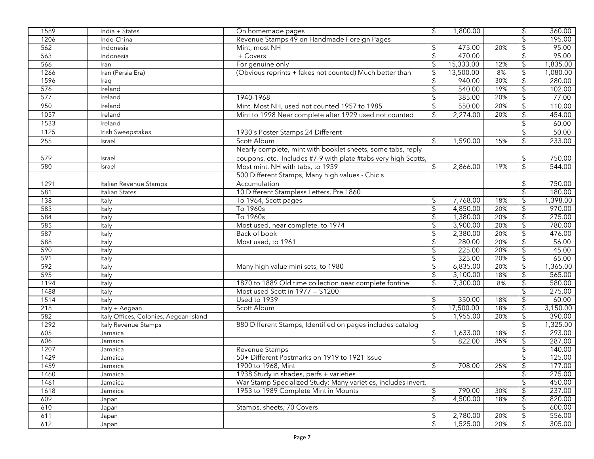| 1589 | India + States                         | On homemade pages                                              | \$                        | 1,800.00  |     | \$                        | 360.00   |
|------|----------------------------------------|----------------------------------------------------------------|---------------------------|-----------|-----|---------------------------|----------|
| 1206 | Indo-China                             | Revenue Stamps 49 on Handmade Foreign Pages                    |                           |           |     |                           | 195.00   |
| 562  | Indonesia                              | Mint, most NH                                                  | \$                        | 475.00    | 20% |                           | 95.00    |
| 563  | Indonesia                              | + Covers                                                       | \$                        | 470.00    |     |                           | 95.00    |
| 566  | Iran                                   | For genuine only                                               | \$                        | 15,333.00 | 12% | \$                        | 1,835.00 |
| 1266 | Iran (Persia Era)                      | (Obvious reprints + fakes not counted) Much better than        | \$                        | 13,500.00 | 8%  | \$                        | 1,080.00 |
| 1596 | Iraq                                   |                                                                | \$                        | 940.00    | 30% | $\overline{\mathfrak{s}}$ | 280.00   |
| 576  | Ireland                                |                                                                | \$                        | 540.00    | 19% | $\overline{\mathcal{E}}$  | 102.00   |
| 577  | Ireland                                | 1940-1968                                                      | \$                        | 385.00    | 20% | \$                        | 77.00    |
| 950  | Ireland                                | Mint, Most NH, used not counted 1957 to 1985                   | \$                        | 550.00    | 20% | \$                        | 110.00   |
| 1057 | Ireland                                | Mint to 1998 Near complete after 1929 used not counted         | \$                        | 2,274.00  | 20% | $\mathfrak{D}$            | 454.00   |
| 1533 | Ireland                                |                                                                |                           |           |     |                           | 60.00    |
| 1125 | Irish Sweepstakes                      | 1930's Poster Stamps 24 Different                              |                           |           |     |                           | 50.00    |
| 255  | Israel                                 | Scott Album                                                    | $\mathfrak{F}$            | 1,590.00  | 15% | \$                        | 233.00   |
|      |                                        | Nearly complete, mint with booklet sheets, some tabs, reply    |                           |           |     |                           |          |
| 579  | Israel                                 | coupons, etc. Includes #7-9 with plate #tabs very high Scotts, |                           |           |     | \$                        | 750.00   |
| 580  | Israel                                 | Most mint, NH with tabs, to 1959                               | \$                        | 2,866.00  | 19% | \$                        | 544.00   |
|      |                                        | 500 Different Stamps, Many high values - Chic's                |                           |           |     |                           |          |
| 1291 | Italian Revenue Stamps                 | Accumulation                                                   |                           |           |     | \$                        | 750.00   |
| 581  | Italian States                         | 10 Different Stampless Letters, Pre 1860                       |                           |           |     | $\overline{\mathcal{E}}$  | 180.00   |
| 138  | Italy                                  | To 1964, Scott pages                                           | \$                        | 7,768.00  | 18% | \$                        | 1,398.00 |
| 583  | Italy                                  | To 1960s                                                       | \$                        | 4,850.00  | 20% |                           | 970.00   |
| 584  | Italy                                  | To 1960s                                                       | \$                        | 1,380.00  | 20% | \$                        | 275.00   |
| 585  | Italy                                  | Most used, near complete, to 1974                              | \$                        | 3,900.00  | 20% | \$                        | 780.00   |
| 587  | Italy                                  | Back of book                                                   | \$                        | 2,380.00  | 20% |                           | 476.00   |
| 588  | Italy                                  | Most used, to 1961                                             | \$                        | 280.00    | 20% | $\overline{\mathcal{E}}$  | 56.00    |
| 590  | Italy                                  |                                                                | \$                        | 225.00    | 20% | \$                        | 45.00    |
| 591  | Italy                                  |                                                                | \$                        | 325.00    | 20% |                           | 65.00    |
| 592  | Italy                                  | Many high value mini sets, to 1980                             | \$                        | 6,835.00  | 20% | $\overline{\mathcal{E}}$  | 1,365.00 |
| 595  | Italy                                  |                                                                | \$                        | 3,100.00  | 18% | \$                        | 565.00   |
| 1194 | Italy                                  | 1870 to 1889 Old time collection near complete fontine         | \$                        | 7,300.00  | 8%  | \$                        | 580.00   |
| 1488 | Italy                                  | Most used Scott in $1977 = $1200$                              |                           |           |     | $\overline{\mathcal{E}}$  | 275.00   |
| 1514 | Italy                                  | Used to 1939                                                   | \$                        | 350.00    | 18% | $\overline{\mathfrak{s}}$ | 60.00    |
| 218  | Italy + Aegean                         | Scott Album                                                    | $\overline{\mathcal{S}}$  | 17,500.00 | 18% | $\overline{\mathcal{E}}$  | 3,150.00 |
| 582  | Italy Offices, Colonies, Aegean Island |                                                                | $\mathfrak{L}$            | 1,955.00  | 20% | $\overline{\mathfrak{s}}$ | 390.00   |
| 1292 | Italy Revenue Stamps                   | 880 Different Stamps, Identified on pages includes catalog     |                           |           |     | $\overline{\mathcal{E}}$  | 1,325.00 |
| 605  | Jamaica                                |                                                                | \$                        | ,633.00   | 18% | \$                        | 293.00   |
| 606  | Jamaica                                |                                                                | \$                        | 822.00    | 35% | $\overline{\mathfrak{s}}$ | 287.00   |
| 1207 | Jamaica                                | Revenue Stamps                                                 |                           |           |     | \$                        | 140.00   |
| 1429 | Jamaica                                | 50+ Different Postmarks on 1919 to 1921 Issue                  |                           |           |     | \$                        | 125.00   |
| 1459 | Jamaica                                | 1900 to 1968, Mint                                             | $\overline{\mathfrak{s}}$ | 708.00    | 25% | $\overline{\mathfrak{s}}$ | 177.00   |
| 1460 | Jamaica                                | 1938 Study in shades, perfs + varieties                        |                           |           |     |                           | 275.00   |
| 1461 | Jamaica                                | War Stamp Specialized Study: Many varieties, includes invert,  |                           |           |     |                           | 450.00   |
| 1618 | Jamaica                                | 1953 to 1989 Complete Mint in Mounts                           | \$                        | 790.00    | 30% |                           | 237.00   |
| 609  | Japan                                  |                                                                | \$                        | 4,500.00  | 18% | \$                        | 820.00   |
| 610  | Japan                                  | Stamps, sheets, 70 Covers                                      |                           |           |     |                           | 600.00   |
| 611  | Japan                                  |                                                                | \$                        | 2,780.00  | 20% |                           | 556.00   |
| 612  | Japan                                  |                                                                | \$                        | 1,525.00  | 20% | \$                        | 305.00   |
|      |                                        |                                                                |                           |           |     |                           |          |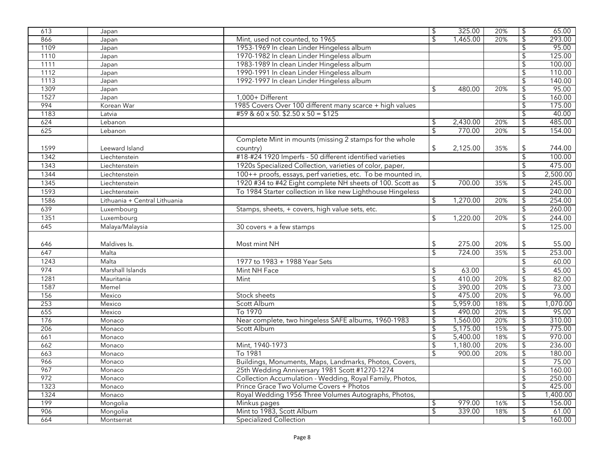| 613  | Japan                         |                                                              | $\overline{\mathcal{S}}$ | 325.00   | 20% | \$                        | 65.00    |
|------|-------------------------------|--------------------------------------------------------------|--------------------------|----------|-----|---------------------------|----------|
| 866  | Japan                         | Mint, used not counted, to 1965                              | \$                       | 1,465.00 | 20% | $\overline{\mathcal{E}}$  | 293.00   |
| 1109 | Japan                         | 1953-1969 In clean Linder Hingeless album                    |                          |          |     | \$                        | 95.00    |
| 1110 | Japan                         | 1970-1982 In clean Linder Hingeless album                    |                          |          |     |                           | 125.00   |
| 1111 | Japan                         | 1983-1989 In clean Linder Hingeless album                    |                          |          |     | \$                        | 100.00   |
| 1112 | Japan                         | 1990-1991 In clean Linder Hingeless album                    |                          |          |     |                           | 110.00   |
| 1113 | Japan                         | 1992-1997 In clean Linder Hingeless album                    |                          |          |     | \$                        | 140.00   |
| 1309 | Japan                         |                                                              | \$                       | 480.00   | 20% | $\sqrt{2}$                | 95.00    |
| 1527 | Japan                         | 1,000+ Different                                             |                          |          |     | $\overline{\mathcal{E}}$  | 160.00   |
| 994  | Korean War                    | 1985 Covers Over 100 different many scarce + high values     |                          |          |     | $\mathfrak{L}$            | 175.00   |
| 1183 | Latvia                        | #59 & 60 x 50. $$2.50 \times 50 = $125$                      |                          |          |     | \$                        | 40.00    |
| 624  | Lebanon                       |                                                              | \$                       | 2,430.00 | 20% | $\sqrt{2}$                | 485.00   |
| 625  | Lebanon                       |                                                              | \$                       | 770.00   | 20% | $\sqrt{2}$                | 154.00   |
|      |                               | Complete Mint in mounts (missing 2 stamps for the whole      |                          |          |     |                           |          |
| 1599 | Leeward Island                | country)                                                     | \$                       | 2,125.00 | 35% | \$                        | 744.00   |
| 1342 | Liechtenstein                 | #18-#24 1920 Imperfs - 50 different identified varieties     |                          |          |     | $\sqrt{2}$                | 100.00   |
| 1343 | Liechtenstein                 | 1920s Specialized Collection, varieties of color, paper,     |                          |          |     | \$                        | 475.00   |
| 1344 | Liechtenstein                 | 100++ proofs, essays, perf varieties, etc. To be mounted in, |                          |          |     | $\sqrt{2}$                | 2,500.00 |
| 1345 | Liechtenstein                 | 1920 #34 to #42 Eight complete NH sheets of 100. Scott as    | \$                       | 700.00   | 35% | $\sqrt{2}$                | 245.00   |
| 1593 | Liechtenstein                 | To 1984 Starter collection in like new Lighthouse Hingeless  |                          |          |     | $\sqrt{2}$                | 240.00   |
| 1586 | Lithuania + Central Lithuania |                                                              | \$                       | 1,270.00 | 20% | \$                        | 254.00   |
| 639  |                               |                                                              |                          |          |     | $\mathfrak{D}$            | 260.00   |
|      | Luxembourg                    | Stamps, sheets, + covers, high value sets, etc.              |                          |          |     |                           |          |
| 1351 | Luxembourg                    |                                                              | $\mathfrak{L}$           | 1,220.00 | 20% | \$                        | 244.00   |
| 645  | Malaya/Malaysia               | 30 covers + a few stamps                                     |                          |          |     | $\overline{\mathcal{L}}$  | 125.00   |
|      |                               |                                                              |                          |          |     |                           |          |
| 646  | Maldives Is.                  | Most mint NH                                                 | \$                       | 275.00   | 20% | $\updownarrow$            | 55.00    |
| 647  | Malta                         |                                                              | $\mathfrak{L}$           | 724.00   | 35% | $\overline{\mathcal{L}}$  | 253.00   |
| 1243 | Malta                         | 1977 to 1983 + 1988 Year Sets                                |                          |          |     | $\mathfrak{D}$            | 60.00    |
| 974  | Marshall Islands              | Mint NH Face                                                 | \$                       | 63.00    |     |                           | 45.00    |
| 1281 | Mauritania                    | Mint                                                         | $\mathsf{\$}$            | 410.00   | 20% | $\sqrt{2}$                | 82.00    |
| 1587 | Memel                         |                                                              | $\overline{\mathcal{G}}$ | 390.00   | 20% | $\overline{\mathfrak{s}}$ | 73.00    |
| 156  | Mexico                        | Stock sheets                                                 | \$                       | 475.00   | 20% | $\overline{\mathfrak{s}}$ | 96.00    |
| 253  | Mexico                        | Scott Album                                                  | \$                       | 5,959.00 | 18% | \$                        | 1,070.00 |
| 655  | Mexico                        | To 1970                                                      | \$                       | 490.00   | 20% | \$                        | 95.00    |
| 176  | Monaco                        | Near complete, two hingeless SAFE albums, 1960-1983          | \$                       | 1,560.00 | 20% | $\overline{\mathcal{E}}$  | 310.00   |
| 206  | Monaco                        | Scott Album                                                  | \$                       | 5,175.00 | 15% | $\overline{\mathfrak{s}}$ | 775.00   |
| 661  | Monaco                        |                                                              | \$                       | 5,400.00 | 18% | \$                        | 970.00   |
| 662  | Monaco                        | Mint, 1940-1973                                              | $\sqrt{2}$               | 1,180.00 | 20% | $\overline{\mathfrak{s}}$ | 236.00   |
| 663  | Monaco                        | To 1981                                                      | \$                       | 900.00   | 20% | $\overline{\mathcal{L}}$  | 180.00   |
| 966  | Monaco                        | Buildings, Monuments, Maps, Landmarks, Photos, Covers,       |                          |          |     | $\overline{\mathcal{C}}$  | 75.00    |
| 967  | Monaco                        | 25th Wedding Anniversary 1981 Scott #1270-1274               |                          |          |     | $\overline{\mathfrak{s}}$ | 160.00   |
| 972  | Monaco                        | Collection Accumulation - Wedding, Royal Family, Photos,     |                          |          |     |                           | 250.00   |
| 1323 | Monaco                        | Prince Grace Two Volume Covers + Photos                      |                          |          |     |                           | 425.00   |
| 1324 | Monaco                        | Royal Wedding 1956 Three Volumes Autographs, Photos,         |                          |          |     | \$                        | 1,400.00 |
| 199  | Mongolia                      | Minkus pages                                                 | \$                       | 979.00   | 16% | \$                        | 156.00   |
| 906  | Mongolia                      | Mint to 1983, Scott Album                                    | \$                       | 339.00   | 18% |                           | 61.00    |
| 664  | Montserrat                    | <b>Specialized Collection</b>                                |                          |          |     | \$                        | 160.00   |
|      |                               |                                                              |                          |          |     |                           |          |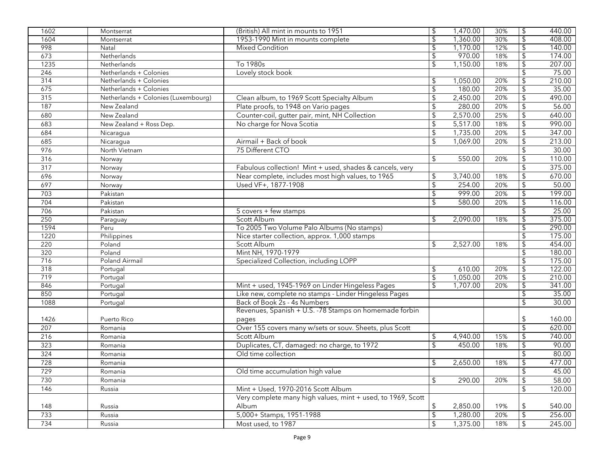| 1602 | Montserrat                          | (British) All mint in mounts to 1951                        | \$                       | 1,470.00 | 30% | $\sqrt{2}$                | 440.00 |
|------|-------------------------------------|-------------------------------------------------------------|--------------------------|----------|-----|---------------------------|--------|
| 1604 | Montserrat                          | 1953-1990 Mint in mounts complete                           | $\overline{\mathcal{E}}$ | 1,360.00 | 30% | $\overline{\mathcal{L}}$  | 408.00 |
| 998  | Natal                               | <b>Mixed Condition</b>                                      | \$                       | 1,170.00 | 12% | $\overline{\mathcal{L}}$  | 140.00 |
| 673  | Netherlands                         |                                                             | \$                       | 970.00   | 18% | $\overline{\mathcal{L}}$  | 174.00 |
| 1235 | Netherlands                         | To 1980s                                                    | \$                       | 1,150.00 | 18% | $\overline{\mathcal{L}}$  | 207.00 |
| 246  | Netherlands + Colonies              | Lovely stock book                                           |                          |          |     | \$                        | 75.00  |
| 314  | Netherlands + Colonies              |                                                             | \$                       | 1,050.00 | 20% | $\overline{\mathfrak{s}}$ | 210.00 |
| 675  | Netherlands + Colonies              |                                                             | \$                       | 180.00   | 20% | $\overline{\mathcal{E}}$  | 35.00  |
| 315  | Netherlands + Colonies (Luxembourg) | Clean album, to 1969 Scott Specialty Album                  | $\boldsymbol{\theta}$    | 2,450.00 | 20% | $\sqrt{2}$                | 490.00 |
| 187  | New Zealand                         | Plate proofs, to 1948 on Vario pages                        | \$                       | 280.00   | 20% | $\sqrt{2}$                | 56.00  |
| 680  | New Zealand                         | Counter-coil, gutter pair, mint, NH Collection              | \$                       | 2,570.00 | 25% | $\sqrt{2}$                | 640.00 |
| 683  | New Zealand + Ross Dep.             | No charge for Nova Scotia                                   | \$                       | 5,517.00 | 18% | $\sqrt{2}$                | 990.00 |
| 684  | Nicaragua                           |                                                             | $\frac{1}{2}$            | 1,735.00 | 20% | $\sqrt{2}$                | 347.00 |
| 685  | Nicaragua                           | Airmail + Back of book                                      | $\mathfrak{L}$           | 1,069.00 | 20% | $\sqrt{2}$                | 213.00 |
| 976  | North Vietnam                       | 75 Different CTO                                            |                          |          |     | $\sqrt{2}$                | 30.00  |
| 316  | Norway                              |                                                             | \$                       | 550.00   | 20% | $\sqrt{2}$                | 110.00 |
| 317  | Norway                              | Fabulous collection! Mint + used, shades & cancels, very    |                          |          |     | $\sqrt{2}$                | 375.00 |
| 696  | Norway                              | Near complete, includes most high values, to 1965           | \$                       | 3,740.00 | 18% | \$                        | 670.00 |
| 697  | Norway                              | Used VF+, 1877-1908                                         | \$                       | 254.00   | 20% | \$                        | 50.00  |
| 703  | Pakistan                            |                                                             | \$                       | 999.00   | 20% | \$                        | 199.00 |
| 704  | Pakistan                            |                                                             | \$                       | 580.00   | 20% | $\boldsymbol{\theta}$     | 116.00 |
| 706  | Pakistan                            | 5 covers + few stamps                                       |                          |          |     | $\boldsymbol{\theta}$     | 25.00  |
| 250  | Paraguay                            | Scott Album                                                 | \$                       | 2,090.00 | 18% | $\sqrt{2}$                | 375.00 |
| 1594 | Peru                                | To 2005 Two Volume Palo Albums (No stamps)                  |                          |          |     | \$                        | 290.00 |
| 1220 | Philippines                         | Nice starter collection, approx. 1,000 stamps               |                          |          |     | $\overline{\mathcal{L}}$  | 175.00 |
| 220  | Poland                              | Scott Album                                                 | \$                       | 2,527.00 | 18% | \$                        | 454.00 |
| 320  | Poland                              | Mint NH, 1970-1979                                          |                          |          |     | \$                        | 180.00 |
| 716  | <b>Poland Airmail</b>               | Specialized Collection, including LOPP                      |                          |          |     | $\overline{\mathfrak{s}}$ | 175.00 |
| 318  | Portugal                            |                                                             | \$                       | 610.00   | 20% | \$                        | 122.00 |
| 719  | Portugal                            |                                                             | $\overline{\mathcal{E}}$ | 1,050.00 | 20% | $\overline{\mathcal{E}}$  | 210.00 |
| 846  | Portugal                            | Mint + used, 1945-1969 on Linder Hingeless Pages            | \$                       | 1,707.00 | 20% | $\overline{\mathcal{L}}$  | 341.00 |
| 850  | Portugal                            | Like new, complete no stamps - Linder Hingeless Pages       |                          |          |     | \$                        | 35.00  |
| 1088 | Portugal                            | Back of Book 2s - 4s Numbers                                |                          |          |     | \$                        | 30.00  |
|      |                                     | Revenues, Spanish + U.S. -78 Stamps on homemade forbin      |                          |          |     |                           |        |
| 1426 | Puerto Rico                         | pages                                                       |                          |          |     | \$                        | 160.00 |
| 207  | Romania                             | Over 155 covers many w/sets or souv. Sheets, plus Scott     |                          |          |     | $\sqrt{2}$                | 620.00 |
| 216  | Romania                             | Scott Album                                                 | \$                       | 4,940.00 | 15% | $\boldsymbol{\theta}$     | 740.00 |
| 323  | Romania                             | Duplicates, CT, damaged: no charge, to 1972                 | \$                       | 450.00   | 18% | $\sqrt{2}$                | 90.00  |
| 324  | Romania                             | Old time collection                                         |                          |          |     | $\boldsymbol{\theta}$     | 80.00  |
| 728  | Romania                             |                                                             | $\updownarrow$           | 2,650.00 | 18% | $\overline{\mathcal{G}}$  | 477.00 |
| 729  | Romania                             | Old time accumulation high value                            |                          |          |     | \$                        | 45.00  |
| 730  | Romania                             |                                                             | \$                       | 290.00   | 20% | $\sqrt{2}$                | 58.00  |
| 146  | Russia                              | Mint + Used, 1970-2016 Scott Album                          |                          |          |     | $\overline{\mathcal{S}}$  | 120.00 |
|      |                                     | Very complete many high values, mint + used, to 1969, Scott |                          |          |     |                           |        |
| 148  | Russia                              | Album                                                       | \$                       | 2,850.00 | 19% | \$                        | 540.00 |
| 733  | Russia                              | 5,000+ Stamps, 1951-1988                                    | \$                       | 1,280.00 | 20% | \$                        | 256.00 |
| 734  | Russia                              | Most used, to 1987                                          | \$                       | 1,375.00 | 18% | \$                        | 245.00 |
|      |                                     |                                                             |                          |          |     |                           |        |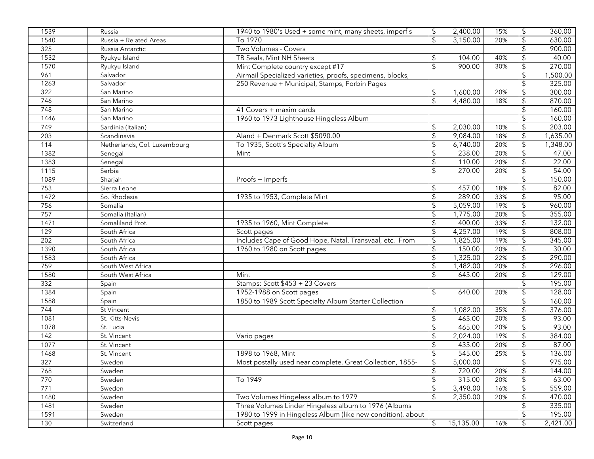| 1539 | Russia                       | 1940 to 1980's Used + some mint, many sheets, imperf's      | \$                      | 2,400.00  | 15% | $\boldsymbol{\theta}$   | 360.00   |
|------|------------------------------|-------------------------------------------------------------|-------------------------|-----------|-----|-------------------------|----------|
| 1540 | Russia + Related Areas       | To 1970                                                     | $\mathfrak{L}$          | 3,150.00  | 20% | $\boldsymbol{\theta}$   | 630.00   |
| 325  | Russia Antarctic             | Two Volumes - Covers                                        |                         |           |     | \$                      | 900.00   |
| 1532 | Ryukyu Island                | TB Seals, Mint NH Sheets                                    | \$                      | 104.00    | 40% | $\sqrt{2}$              | 40.00    |
| 1570 | Ryukyu Island                | Mint Complete country except #17                            | \$                      | 900.00    | 30% | $\sqrt{2}$              | 270.00   |
| 961  | Salvador                     | Airmail Specialized varieties, proofs, specimens, blocks,   |                         |           |     | $\sqrt{2}$              | 1,500.00 |
| 1263 | Salvador                     | 250 Revenue + Municipal, Stamps, Forbin Pages               |                         |           |     |                         | 325.00   |
| 322  | San Marino                   |                                                             | \$                      | 1,600.00  | 20% | \$                      | 300.00   |
| 746  | San Marino                   |                                                             | $\mathfrak{L}$          | 4,480.00  | 18% | $\frac{1}{2}$           | 870.00   |
| 748  | San Marino                   | 41 Covers + maxim cards                                     |                         |           |     | \$                      | 160.00   |
| 1446 | San Marino                   | 1960 to 1973 Lighthouse Hingeless Album                     |                         |           |     | \$                      | 160.00   |
| 749  | Sardinia (Italian)           |                                                             | \$                      | 2,030.00  | 10% | \$                      | 203.00   |
| 203  | Scandinavia                  | Aland + Denmark Scott \$5090.00                             | \$                      | 9,084.00  | 18% | $\boldsymbol{\theta}$   | 1,635.00 |
| 114  | Netherlands, Col. Luxembourg | To 1935, Scott's Specialty Album                            | \$                      | 6,740.00  | 20% | \$                      | 1,348.00 |
| 1382 | Senegal                      | Mint                                                        | \$                      | 238.00    | 20% | \$                      | 47.00    |
| 1383 | Senegal                      |                                                             | $\sqrt{2}$              | 110.00    | 20% |                         | 22.00    |
| 1115 | Serbia                       |                                                             | \$                      | 270.00    | 20% | \$                      | 54.00    |
| 1089 | Sharjah                      | Proofs + Imperfs                                            |                         |           |     | $\sqrt{2}$              | 150.00   |
| 753  | Sierra Leone                 |                                                             | \$                      | 457.00    | 18% | \$                      | 82.00    |
| 1472 | So. Rhodesia                 | 1935 to 1953, Complete Mint                                 | \$                      | 289.00    | 33% | $\sqrt{2}$              | 95.00    |
| 756  | Somalia                      |                                                             | $\sqrt{2}$              | 5,059.00  | 19% | $\frac{1}{2}$           | 960.00   |
| 757  | Somalia (Italian)            |                                                             | $\sqrt{2}$              | 1,775.00  | 20% | $\frac{1}{2}$           | 355.00   |
| 1471 | Somaliland Prot.             | 1935 to 1960, Mint Complete                                 | \$                      | 400.00    | 33% | $\mathfrak{D}$          | 132.00   |
| 129  | South Africa                 | Scott pages                                                 | \$                      | 4,257.00  | 19% | \$                      | 808.00   |
| 202  | South Africa                 | Includes Cape of Good Hope, Natal, Transvaal, etc. From     | \$                      | 1,825.00  | 19% | \$                      | 345.00   |
| 1390 | South Africa                 | 1960 to 1980 on Scott pages                                 | \$                      | 150.00    | 20% | \$                      | 30.00    |
| 1583 | South Africa                 |                                                             | \$                      | 1,325.00  | 22% | $\sqrt{2}$              | 290.00   |
| 759  | South West Africa            |                                                             | \$                      | 1,482.00  | 20% | \$                      | 296.00   |
| 1580 | South West Africa            | Mint                                                        | \$                      | 645.00    | 20% |                         | 129.00   |
| 332  | Spain                        | Stamps: Scott \$453 + 23 Covers                             |                         |           |     | \$                      | 195.00   |
| 1384 | Spain                        | 1952-1988 on Scott pages                                    | $\mathfrak{L}$          | 640.00    | 20% |                         | 128.00   |
| 1588 | Spain                        | 1850 to 1989 Scott Specialty Album Starter Collection       |                         |           |     | \$                      | 160.00   |
| 744  | St Vincent                   |                                                             | \$                      | 1,082.00  | 35% | \$                      | 376.00   |
| 1081 | St. Kitts-Nevis              |                                                             | \$                      | 465.00    | 20% | $\sqrt{2}$              | 93.00    |
| 1078 | St. Lucia                    |                                                             | \$                      | 465.00    | 20% | $\sqrt{2}$              | 93.00    |
| 142  | St. Vincent                  | Vario pages                                                 | \$                      | 2,024.00  | 19% | $\frac{1}{2}$           | 384.00   |
| 1077 | St. Vincent                  |                                                             | \$                      | 435.00    | 20% |                         | 87.00    |
| 1468 | St. Vincent                  | 1898 to 1968, Mint                                          | $\sqrt{2}$              | 545.00    | 25% | $\boldsymbol{\theta}$   | 136.00   |
| 327  | Sweden                       | Most postally used near complete. Great Collection, 1855-   | $\overline{\mathbf{e}}$ | 5,000.00  |     | $\overline{\mathbf{G}}$ | 975.00   |
| 768  | Sweden                       |                                                             | $\sqrt{2}$              | 720.00    | 20% | $\sqrt{2}$              | 144.00   |
| 770  | Sweden                       | To 1949                                                     | $\sqrt{2}$              | 315.00    | 20% |                         | 63.00    |
| 771  | Sweden                       |                                                             | $\sqrt{2}$              | 3,498.00  | 16% | \$                      | 559.00   |
| 1480 | Sweden                       | Two Volumes Hingeless album to 1979                         | \$                      | 2,350.00  | 20% | \$                      | 470.00   |
| 1481 | Sweden                       | Three Volumes Linder Hingeless album to 1976 (Albums        |                         |           |     | \$                      | 335.00   |
| 1591 | Sweden                       | 1980 to 1999 in Hingeless Album (like new condition), about |                         |           |     | \$                      | 195.00   |
| 130  | Switzerland                  | Scott pages                                                 | \$                      | 15,135.00 | 16% | \$                      | 2,421.00 |
|      |                              |                                                             |                         |           |     |                         |          |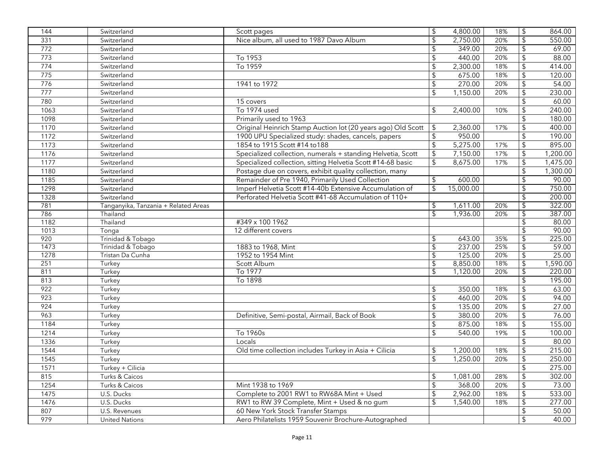| Nice album, all used to 1987 Davo Album<br>$\mathsf{\$}$<br>$\sqrt{2}$<br>2,750.00<br>331<br>20%<br>550.00<br>Switzerland<br>$\mathsf{\$}$<br>772<br>\$<br>349.00<br>20%<br>Switzerland<br>69.00<br>20%<br>$\sqrt{2}$<br>773<br>To 1953<br>\$<br>440.00<br>Switzerland<br>88.00<br>To 1959<br>2,300.00<br>774<br>$\sqrt{2}$<br>18%<br>$\sqrt{2}$<br>Switzerland<br>414.00<br>$\sqrt{2}$<br>675.00<br>\$<br>775<br>Switzerland<br>18%<br>120.00<br>270.00<br>1941 to 1972<br>$\sqrt{2}$<br>776<br>20%<br>54.00<br>Switzerland<br>$\overline{\mathcal{L}}$<br>\$<br>1,150.00<br>230.00<br>777<br>20%<br>Switzerland<br>780<br>60.00<br>15 covers<br>Switzerland<br>To 1974 used<br>\$<br>10%<br>\$<br>240.00<br>1063<br>Switzerland<br>2,400.00<br>$\mathfrak{L}$<br>Switzerland<br>Primarily used to 1963<br>180.00<br>1098<br>Original Heinrich Stamp Auction lot (20 years ago) Old Scott<br>1170<br>Switzerland<br>17%<br>\$<br>400.00<br>\$<br>2,360.00<br>$\sqrt{2}$<br>1172<br>Switzerland<br>1900 UPU Specialized study: shades, cancels, papers<br>\$<br>950.00<br>190.00<br>5,275.00<br>Switzerland<br>1854 to 1915 Scott #14 to 188<br>\$<br>$\boldsymbol{\theta}$<br>895.00<br>1173<br>17%<br>$\updownarrow$<br>$\updownarrow$<br>7,150.00<br>1176<br>Switzerland<br>Specialized collection, numerals + standing Helvetia, Scott<br>17%<br>$\frac{1}{2}$<br>\$<br>8,675.00<br>1177<br>Specialized collection, sitting Helvetia Scott #14-68 basic<br>17%<br>Switzerland<br>$\frac{1}{2}$<br>1180<br>Postage due on covers, exhibit quality collection, many<br>Switzerland<br>$\sqrt{2}$<br>Remainder of Pre 1940, Primarily Used Collection<br>\$<br>90.00<br>1185<br>600.00<br>Switzerland<br>$\mathfrak{L}$<br>$\sqrt{2}$<br>Imperf Helvetia Scott #14-40b Extensive Accumulation of<br>750.00<br>1298<br>Switzerland<br>15,000.00<br>$\sqrt{2}$<br>Perforated Helvetia Scott #41-68 Accumulation of 110+<br>200.00<br>1328<br>Switzerland<br>781<br>\$<br>322.00<br>Tanganyika, Tanzania + Related Areas<br>1,611.00<br>20%<br>\$<br>1,936.00<br>387.00<br>786<br>$\mathfrak{L}$<br>Thailand<br>20%<br>#349 x 100 1962<br>1182<br>Thailand<br>80.00<br>12 different covers<br>90.00<br>1013<br>Tonga<br>225.00<br>920<br>Trinidad & Tobago<br>643.00<br>35%<br>\$<br>\$<br>$\overline{\mathcal{S}}$<br>237.00<br>1473<br>1883 to 1968, Mint<br>25%<br>$\sqrt{2}$<br>Trinidad & Tobago<br>1952 to 1954 Mint<br>125.00<br>20%<br>$\overline{\mathcal{E}}$<br>25.00<br>1278<br>Tristan Da Cunha<br>\$<br>8,850.00<br>251<br>Scott Album<br>18%<br>\$<br>\$<br>Turkey<br>$\mathfrak{L}$<br>1,120.00<br>$\overline{\mathcal{E}}$<br>220.00<br>811<br>Turkey<br>To 1977<br>20%<br>\$<br>195.00<br>To 1898<br>813<br>Turkey<br>922<br>350.00<br>\$<br>63.00<br>Turkey<br>\$<br>18%<br>\$<br>460.00<br>94.00<br>923<br>Turkey<br>20%<br>\$<br>135.00<br>Turkey<br>\$<br>20%<br>\$<br>27.00<br>924<br>963<br>$\sqrt{2}$<br>380.00<br>20%<br>Turkey<br>Definitive, Semi-postal, Airmail, Back of Book<br>\$<br>76.00<br>1184<br>\$<br>875.00<br>18%<br>\$<br>155.00<br>Turkey<br>$\mathsf{\$}$<br>1214<br>19%<br>Turkey<br>To 1960s<br>540.00<br>100.00<br>1336<br>Turkey<br>\$<br>Locals<br>80.00<br>$\sqrt{2}$<br>1544<br>Turkey<br>Old time collection includes Turkey in Asia + Cilicia<br>\$<br>1,200.00<br>18%<br>215.00<br>$\overline{\mathcal{S}}$<br>1,250.00<br>$\overline{\mathfrak{s}}$<br>1545<br>Turkey<br>20%<br>$$\mathfrak{s}$$<br>275.00<br>1571<br>Turkey + Cilicia<br>815<br>$\sqrt{2}$<br>1,081.00<br>Turks & Caicos<br>28%<br>$\sqrt{2}$<br>368.00<br>1254<br>Turks & Caicos<br>Mint 1938 to 1969<br>20%<br>$\sqrt{2}$<br>2,962.00<br>Complete to 2001 RW1 to RW68A Mint + Used<br>533.00<br>1475<br>U.S. Ducks<br>18%<br>1476<br>U.S. Ducks<br>RW1 to RW 39 Complete, Mint + Used & no gum<br>\$<br>1,540.00<br>\$<br>18%<br>277.00<br>807<br>$\sqrt{2}$<br>U.S. Revenues<br>60 New York Stock Transfer Stamps<br>50.00<br>979<br>\$<br><b>United Nations</b> | 144 | Switzerland | Scott pages                                          | $\sqrt{2}$ | 4,800.00 | 18% | $\boldsymbol{\theta}$ | 864.00 |
|------------------------------------------------------------------------------------------------------------------------------------------------------------------------------------------------------------------------------------------------------------------------------------------------------------------------------------------------------------------------------------------------------------------------------------------------------------------------------------------------------------------------------------------------------------------------------------------------------------------------------------------------------------------------------------------------------------------------------------------------------------------------------------------------------------------------------------------------------------------------------------------------------------------------------------------------------------------------------------------------------------------------------------------------------------------------------------------------------------------------------------------------------------------------------------------------------------------------------------------------------------------------------------------------------------------------------------------------------------------------------------------------------------------------------------------------------------------------------------------------------------------------------------------------------------------------------------------------------------------------------------------------------------------------------------------------------------------------------------------------------------------------------------------------------------------------------------------------------------------------------------------------------------------------------------------------------------------------------------------------------------------------------------------------------------------------------------------------------------------------------------------------------------------------------------------------------------------------------------------------------------------------------------------------------------------------------------------------------------------------------------------------------------------------------------------------------------------------------------------------------------------------------------------------------------------------------------------------------------------------------------------------------------------------------------------------------------------------------------------------------------------------------------------------------------------------------------------------------------------------------------------------------------------------------------------------------------------------------------------------------------------------------------------------------------------------------------------------------------------------------------------------------------------------------------------------------------------------------------------------------------------------------------------------------------------------------------------------------------------------------------------------------------------------------------------------------------------------------------------------------------------------------------------------------------------------------------------------------------------------------------------------------------------------------------------------------------------------------------------------------------------------------------------------------------------------------------------------------------------------------------------------------------------------------------------------------------------------------------------|-----|-------------|------------------------------------------------------|------------|----------|-----|-----------------------|--------|
|                                                                                                                                                                                                                                                                                                                                                                                                                                                                                                                                                                                                                                                                                                                                                                                                                                                                                                                                                                                                                                                                                                                                                                                                                                                                                                                                                                                                                                                                                                                                                                                                                                                                                                                                                                                                                                                                                                                                                                                                                                                                                                                                                                                                                                                                                                                                                                                                                                                                                                                                                                                                                                                                                                                                                                                                                                                                                                                                                                                                                                                                                                                                                                                                                                                                                                                                                                                                                                                                                                                                                                                                                                                                                                                                                                                                                                                                                                                                                                                          |     |             |                                                      |            |          |     |                       |        |
| 1,200.00<br>1,475.00<br>1,300.00<br>59.00<br>1,590.00<br>250.00<br>302.00<br>73.00                                                                                                                                                                                                                                                                                                                                                                                                                                                                                                                                                                                                                                                                                                                                                                                                                                                                                                                                                                                                                                                                                                                                                                                                                                                                                                                                                                                                                                                                                                                                                                                                                                                                                                                                                                                                                                                                                                                                                                                                                                                                                                                                                                                                                                                                                                                                                                                                                                                                                                                                                                                                                                                                                                                                                                                                                                                                                                                                                                                                                                                                                                                                                                                                                                                                                                                                                                                                                                                                                                                                                                                                                                                                                                                                                                                                                                                                                                       |     |             |                                                      |            |          |     |                       |        |
|                                                                                                                                                                                                                                                                                                                                                                                                                                                                                                                                                                                                                                                                                                                                                                                                                                                                                                                                                                                                                                                                                                                                                                                                                                                                                                                                                                                                                                                                                                                                                                                                                                                                                                                                                                                                                                                                                                                                                                                                                                                                                                                                                                                                                                                                                                                                                                                                                                                                                                                                                                                                                                                                                                                                                                                                                                                                                                                                                                                                                                                                                                                                                                                                                                                                                                                                                                                                                                                                                                                                                                                                                                                                                                                                                                                                                                                                                                                                                                                          |     |             |                                                      |            |          |     |                       |        |
|                                                                                                                                                                                                                                                                                                                                                                                                                                                                                                                                                                                                                                                                                                                                                                                                                                                                                                                                                                                                                                                                                                                                                                                                                                                                                                                                                                                                                                                                                                                                                                                                                                                                                                                                                                                                                                                                                                                                                                                                                                                                                                                                                                                                                                                                                                                                                                                                                                                                                                                                                                                                                                                                                                                                                                                                                                                                                                                                                                                                                                                                                                                                                                                                                                                                                                                                                                                                                                                                                                                                                                                                                                                                                                                                                                                                                                                                                                                                                                                          |     |             |                                                      |            |          |     |                       |        |
|                                                                                                                                                                                                                                                                                                                                                                                                                                                                                                                                                                                                                                                                                                                                                                                                                                                                                                                                                                                                                                                                                                                                                                                                                                                                                                                                                                                                                                                                                                                                                                                                                                                                                                                                                                                                                                                                                                                                                                                                                                                                                                                                                                                                                                                                                                                                                                                                                                                                                                                                                                                                                                                                                                                                                                                                                                                                                                                                                                                                                                                                                                                                                                                                                                                                                                                                                                                                                                                                                                                                                                                                                                                                                                                                                                                                                                                                                                                                                                                          |     |             |                                                      |            |          |     |                       |        |
|                                                                                                                                                                                                                                                                                                                                                                                                                                                                                                                                                                                                                                                                                                                                                                                                                                                                                                                                                                                                                                                                                                                                                                                                                                                                                                                                                                                                                                                                                                                                                                                                                                                                                                                                                                                                                                                                                                                                                                                                                                                                                                                                                                                                                                                                                                                                                                                                                                                                                                                                                                                                                                                                                                                                                                                                                                                                                                                                                                                                                                                                                                                                                                                                                                                                                                                                                                                                                                                                                                                                                                                                                                                                                                                                                                                                                                                                                                                                                                                          |     |             |                                                      |            |          |     |                       |        |
|                                                                                                                                                                                                                                                                                                                                                                                                                                                                                                                                                                                                                                                                                                                                                                                                                                                                                                                                                                                                                                                                                                                                                                                                                                                                                                                                                                                                                                                                                                                                                                                                                                                                                                                                                                                                                                                                                                                                                                                                                                                                                                                                                                                                                                                                                                                                                                                                                                                                                                                                                                                                                                                                                                                                                                                                                                                                                                                                                                                                                                                                                                                                                                                                                                                                                                                                                                                                                                                                                                                                                                                                                                                                                                                                                                                                                                                                                                                                                                                          |     |             |                                                      |            |          |     |                       |        |
|                                                                                                                                                                                                                                                                                                                                                                                                                                                                                                                                                                                                                                                                                                                                                                                                                                                                                                                                                                                                                                                                                                                                                                                                                                                                                                                                                                                                                                                                                                                                                                                                                                                                                                                                                                                                                                                                                                                                                                                                                                                                                                                                                                                                                                                                                                                                                                                                                                                                                                                                                                                                                                                                                                                                                                                                                                                                                                                                                                                                                                                                                                                                                                                                                                                                                                                                                                                                                                                                                                                                                                                                                                                                                                                                                                                                                                                                                                                                                                                          |     |             |                                                      |            |          |     |                       |        |
|                                                                                                                                                                                                                                                                                                                                                                                                                                                                                                                                                                                                                                                                                                                                                                                                                                                                                                                                                                                                                                                                                                                                                                                                                                                                                                                                                                                                                                                                                                                                                                                                                                                                                                                                                                                                                                                                                                                                                                                                                                                                                                                                                                                                                                                                                                                                                                                                                                                                                                                                                                                                                                                                                                                                                                                                                                                                                                                                                                                                                                                                                                                                                                                                                                                                                                                                                                                                                                                                                                                                                                                                                                                                                                                                                                                                                                                                                                                                                                                          |     |             |                                                      |            |          |     |                       |        |
|                                                                                                                                                                                                                                                                                                                                                                                                                                                                                                                                                                                                                                                                                                                                                                                                                                                                                                                                                                                                                                                                                                                                                                                                                                                                                                                                                                                                                                                                                                                                                                                                                                                                                                                                                                                                                                                                                                                                                                                                                                                                                                                                                                                                                                                                                                                                                                                                                                                                                                                                                                                                                                                                                                                                                                                                                                                                                                                                                                                                                                                                                                                                                                                                                                                                                                                                                                                                                                                                                                                                                                                                                                                                                                                                                                                                                                                                                                                                                                                          |     |             |                                                      |            |          |     |                       |        |
|                                                                                                                                                                                                                                                                                                                                                                                                                                                                                                                                                                                                                                                                                                                                                                                                                                                                                                                                                                                                                                                                                                                                                                                                                                                                                                                                                                                                                                                                                                                                                                                                                                                                                                                                                                                                                                                                                                                                                                                                                                                                                                                                                                                                                                                                                                                                                                                                                                                                                                                                                                                                                                                                                                                                                                                                                                                                                                                                                                                                                                                                                                                                                                                                                                                                                                                                                                                                                                                                                                                                                                                                                                                                                                                                                                                                                                                                                                                                                                                          |     |             |                                                      |            |          |     |                       |        |
|                                                                                                                                                                                                                                                                                                                                                                                                                                                                                                                                                                                                                                                                                                                                                                                                                                                                                                                                                                                                                                                                                                                                                                                                                                                                                                                                                                                                                                                                                                                                                                                                                                                                                                                                                                                                                                                                                                                                                                                                                                                                                                                                                                                                                                                                                                                                                                                                                                                                                                                                                                                                                                                                                                                                                                                                                                                                                                                                                                                                                                                                                                                                                                                                                                                                                                                                                                                                                                                                                                                                                                                                                                                                                                                                                                                                                                                                                                                                                                                          |     |             |                                                      |            |          |     |                       |        |
|                                                                                                                                                                                                                                                                                                                                                                                                                                                                                                                                                                                                                                                                                                                                                                                                                                                                                                                                                                                                                                                                                                                                                                                                                                                                                                                                                                                                                                                                                                                                                                                                                                                                                                                                                                                                                                                                                                                                                                                                                                                                                                                                                                                                                                                                                                                                                                                                                                                                                                                                                                                                                                                                                                                                                                                                                                                                                                                                                                                                                                                                                                                                                                                                                                                                                                                                                                                                                                                                                                                                                                                                                                                                                                                                                                                                                                                                                                                                                                                          |     |             |                                                      |            |          |     |                       |        |
|                                                                                                                                                                                                                                                                                                                                                                                                                                                                                                                                                                                                                                                                                                                                                                                                                                                                                                                                                                                                                                                                                                                                                                                                                                                                                                                                                                                                                                                                                                                                                                                                                                                                                                                                                                                                                                                                                                                                                                                                                                                                                                                                                                                                                                                                                                                                                                                                                                                                                                                                                                                                                                                                                                                                                                                                                                                                                                                                                                                                                                                                                                                                                                                                                                                                                                                                                                                                                                                                                                                                                                                                                                                                                                                                                                                                                                                                                                                                                                                          |     |             |                                                      |            |          |     |                       |        |
|                                                                                                                                                                                                                                                                                                                                                                                                                                                                                                                                                                                                                                                                                                                                                                                                                                                                                                                                                                                                                                                                                                                                                                                                                                                                                                                                                                                                                                                                                                                                                                                                                                                                                                                                                                                                                                                                                                                                                                                                                                                                                                                                                                                                                                                                                                                                                                                                                                                                                                                                                                                                                                                                                                                                                                                                                                                                                                                                                                                                                                                                                                                                                                                                                                                                                                                                                                                                                                                                                                                                                                                                                                                                                                                                                                                                                                                                                                                                                                                          |     |             |                                                      |            |          |     |                       |        |
|                                                                                                                                                                                                                                                                                                                                                                                                                                                                                                                                                                                                                                                                                                                                                                                                                                                                                                                                                                                                                                                                                                                                                                                                                                                                                                                                                                                                                                                                                                                                                                                                                                                                                                                                                                                                                                                                                                                                                                                                                                                                                                                                                                                                                                                                                                                                                                                                                                                                                                                                                                                                                                                                                                                                                                                                                                                                                                                                                                                                                                                                                                                                                                                                                                                                                                                                                                                                                                                                                                                                                                                                                                                                                                                                                                                                                                                                                                                                                                                          |     |             |                                                      |            |          |     |                       |        |
|                                                                                                                                                                                                                                                                                                                                                                                                                                                                                                                                                                                                                                                                                                                                                                                                                                                                                                                                                                                                                                                                                                                                                                                                                                                                                                                                                                                                                                                                                                                                                                                                                                                                                                                                                                                                                                                                                                                                                                                                                                                                                                                                                                                                                                                                                                                                                                                                                                                                                                                                                                                                                                                                                                                                                                                                                                                                                                                                                                                                                                                                                                                                                                                                                                                                                                                                                                                                                                                                                                                                                                                                                                                                                                                                                                                                                                                                                                                                                                                          |     |             |                                                      |            |          |     |                       |        |
|                                                                                                                                                                                                                                                                                                                                                                                                                                                                                                                                                                                                                                                                                                                                                                                                                                                                                                                                                                                                                                                                                                                                                                                                                                                                                                                                                                                                                                                                                                                                                                                                                                                                                                                                                                                                                                                                                                                                                                                                                                                                                                                                                                                                                                                                                                                                                                                                                                                                                                                                                                                                                                                                                                                                                                                                                                                                                                                                                                                                                                                                                                                                                                                                                                                                                                                                                                                                                                                                                                                                                                                                                                                                                                                                                                                                                                                                                                                                                                                          |     |             |                                                      |            |          |     |                       |        |
|                                                                                                                                                                                                                                                                                                                                                                                                                                                                                                                                                                                                                                                                                                                                                                                                                                                                                                                                                                                                                                                                                                                                                                                                                                                                                                                                                                                                                                                                                                                                                                                                                                                                                                                                                                                                                                                                                                                                                                                                                                                                                                                                                                                                                                                                                                                                                                                                                                                                                                                                                                                                                                                                                                                                                                                                                                                                                                                                                                                                                                                                                                                                                                                                                                                                                                                                                                                                                                                                                                                                                                                                                                                                                                                                                                                                                                                                                                                                                                                          |     |             |                                                      |            |          |     |                       |        |
|                                                                                                                                                                                                                                                                                                                                                                                                                                                                                                                                                                                                                                                                                                                                                                                                                                                                                                                                                                                                                                                                                                                                                                                                                                                                                                                                                                                                                                                                                                                                                                                                                                                                                                                                                                                                                                                                                                                                                                                                                                                                                                                                                                                                                                                                                                                                                                                                                                                                                                                                                                                                                                                                                                                                                                                                                                                                                                                                                                                                                                                                                                                                                                                                                                                                                                                                                                                                                                                                                                                                                                                                                                                                                                                                                                                                                                                                                                                                                                                          |     |             |                                                      |            |          |     |                       |        |
|                                                                                                                                                                                                                                                                                                                                                                                                                                                                                                                                                                                                                                                                                                                                                                                                                                                                                                                                                                                                                                                                                                                                                                                                                                                                                                                                                                                                                                                                                                                                                                                                                                                                                                                                                                                                                                                                                                                                                                                                                                                                                                                                                                                                                                                                                                                                                                                                                                                                                                                                                                                                                                                                                                                                                                                                                                                                                                                                                                                                                                                                                                                                                                                                                                                                                                                                                                                                                                                                                                                                                                                                                                                                                                                                                                                                                                                                                                                                                                                          |     |             |                                                      |            |          |     |                       |        |
|                                                                                                                                                                                                                                                                                                                                                                                                                                                                                                                                                                                                                                                                                                                                                                                                                                                                                                                                                                                                                                                                                                                                                                                                                                                                                                                                                                                                                                                                                                                                                                                                                                                                                                                                                                                                                                                                                                                                                                                                                                                                                                                                                                                                                                                                                                                                                                                                                                                                                                                                                                                                                                                                                                                                                                                                                                                                                                                                                                                                                                                                                                                                                                                                                                                                                                                                                                                                                                                                                                                                                                                                                                                                                                                                                                                                                                                                                                                                                                                          |     |             |                                                      |            |          |     |                       |        |
|                                                                                                                                                                                                                                                                                                                                                                                                                                                                                                                                                                                                                                                                                                                                                                                                                                                                                                                                                                                                                                                                                                                                                                                                                                                                                                                                                                                                                                                                                                                                                                                                                                                                                                                                                                                                                                                                                                                                                                                                                                                                                                                                                                                                                                                                                                                                                                                                                                                                                                                                                                                                                                                                                                                                                                                                                                                                                                                                                                                                                                                                                                                                                                                                                                                                                                                                                                                                                                                                                                                                                                                                                                                                                                                                                                                                                                                                                                                                                                                          |     |             |                                                      |            |          |     |                       |        |
|                                                                                                                                                                                                                                                                                                                                                                                                                                                                                                                                                                                                                                                                                                                                                                                                                                                                                                                                                                                                                                                                                                                                                                                                                                                                                                                                                                                                                                                                                                                                                                                                                                                                                                                                                                                                                                                                                                                                                                                                                                                                                                                                                                                                                                                                                                                                                                                                                                                                                                                                                                                                                                                                                                                                                                                                                                                                                                                                                                                                                                                                                                                                                                                                                                                                                                                                                                                                                                                                                                                                                                                                                                                                                                                                                                                                                                                                                                                                                                                          |     |             |                                                      |            |          |     |                       |        |
|                                                                                                                                                                                                                                                                                                                                                                                                                                                                                                                                                                                                                                                                                                                                                                                                                                                                                                                                                                                                                                                                                                                                                                                                                                                                                                                                                                                                                                                                                                                                                                                                                                                                                                                                                                                                                                                                                                                                                                                                                                                                                                                                                                                                                                                                                                                                                                                                                                                                                                                                                                                                                                                                                                                                                                                                                                                                                                                                                                                                                                                                                                                                                                                                                                                                                                                                                                                                                                                                                                                                                                                                                                                                                                                                                                                                                                                                                                                                                                                          |     |             |                                                      |            |          |     |                       |        |
|                                                                                                                                                                                                                                                                                                                                                                                                                                                                                                                                                                                                                                                                                                                                                                                                                                                                                                                                                                                                                                                                                                                                                                                                                                                                                                                                                                                                                                                                                                                                                                                                                                                                                                                                                                                                                                                                                                                                                                                                                                                                                                                                                                                                                                                                                                                                                                                                                                                                                                                                                                                                                                                                                                                                                                                                                                                                                                                                                                                                                                                                                                                                                                                                                                                                                                                                                                                                                                                                                                                                                                                                                                                                                                                                                                                                                                                                                                                                                                                          |     |             |                                                      |            |          |     |                       |        |
|                                                                                                                                                                                                                                                                                                                                                                                                                                                                                                                                                                                                                                                                                                                                                                                                                                                                                                                                                                                                                                                                                                                                                                                                                                                                                                                                                                                                                                                                                                                                                                                                                                                                                                                                                                                                                                                                                                                                                                                                                                                                                                                                                                                                                                                                                                                                                                                                                                                                                                                                                                                                                                                                                                                                                                                                                                                                                                                                                                                                                                                                                                                                                                                                                                                                                                                                                                                                                                                                                                                                                                                                                                                                                                                                                                                                                                                                                                                                                                                          |     |             |                                                      |            |          |     |                       |        |
|                                                                                                                                                                                                                                                                                                                                                                                                                                                                                                                                                                                                                                                                                                                                                                                                                                                                                                                                                                                                                                                                                                                                                                                                                                                                                                                                                                                                                                                                                                                                                                                                                                                                                                                                                                                                                                                                                                                                                                                                                                                                                                                                                                                                                                                                                                                                                                                                                                                                                                                                                                                                                                                                                                                                                                                                                                                                                                                                                                                                                                                                                                                                                                                                                                                                                                                                                                                                                                                                                                                                                                                                                                                                                                                                                                                                                                                                                                                                                                                          |     |             |                                                      |            |          |     |                       |        |
|                                                                                                                                                                                                                                                                                                                                                                                                                                                                                                                                                                                                                                                                                                                                                                                                                                                                                                                                                                                                                                                                                                                                                                                                                                                                                                                                                                                                                                                                                                                                                                                                                                                                                                                                                                                                                                                                                                                                                                                                                                                                                                                                                                                                                                                                                                                                                                                                                                                                                                                                                                                                                                                                                                                                                                                                                                                                                                                                                                                                                                                                                                                                                                                                                                                                                                                                                                                                                                                                                                                                                                                                                                                                                                                                                                                                                                                                                                                                                                                          |     |             |                                                      |            |          |     |                       |        |
|                                                                                                                                                                                                                                                                                                                                                                                                                                                                                                                                                                                                                                                                                                                                                                                                                                                                                                                                                                                                                                                                                                                                                                                                                                                                                                                                                                                                                                                                                                                                                                                                                                                                                                                                                                                                                                                                                                                                                                                                                                                                                                                                                                                                                                                                                                                                                                                                                                                                                                                                                                                                                                                                                                                                                                                                                                                                                                                                                                                                                                                                                                                                                                                                                                                                                                                                                                                                                                                                                                                                                                                                                                                                                                                                                                                                                                                                                                                                                                                          |     |             |                                                      |            |          |     |                       |        |
|                                                                                                                                                                                                                                                                                                                                                                                                                                                                                                                                                                                                                                                                                                                                                                                                                                                                                                                                                                                                                                                                                                                                                                                                                                                                                                                                                                                                                                                                                                                                                                                                                                                                                                                                                                                                                                                                                                                                                                                                                                                                                                                                                                                                                                                                                                                                                                                                                                                                                                                                                                                                                                                                                                                                                                                                                                                                                                                                                                                                                                                                                                                                                                                                                                                                                                                                                                                                                                                                                                                                                                                                                                                                                                                                                                                                                                                                                                                                                                                          |     |             |                                                      |            |          |     |                       |        |
|                                                                                                                                                                                                                                                                                                                                                                                                                                                                                                                                                                                                                                                                                                                                                                                                                                                                                                                                                                                                                                                                                                                                                                                                                                                                                                                                                                                                                                                                                                                                                                                                                                                                                                                                                                                                                                                                                                                                                                                                                                                                                                                                                                                                                                                                                                                                                                                                                                                                                                                                                                                                                                                                                                                                                                                                                                                                                                                                                                                                                                                                                                                                                                                                                                                                                                                                                                                                                                                                                                                                                                                                                                                                                                                                                                                                                                                                                                                                                                                          |     |             |                                                      |            |          |     |                       |        |
|                                                                                                                                                                                                                                                                                                                                                                                                                                                                                                                                                                                                                                                                                                                                                                                                                                                                                                                                                                                                                                                                                                                                                                                                                                                                                                                                                                                                                                                                                                                                                                                                                                                                                                                                                                                                                                                                                                                                                                                                                                                                                                                                                                                                                                                                                                                                                                                                                                                                                                                                                                                                                                                                                                                                                                                                                                                                                                                                                                                                                                                                                                                                                                                                                                                                                                                                                                                                                                                                                                                                                                                                                                                                                                                                                                                                                                                                                                                                                                                          |     |             |                                                      |            |          |     |                       |        |
|                                                                                                                                                                                                                                                                                                                                                                                                                                                                                                                                                                                                                                                                                                                                                                                                                                                                                                                                                                                                                                                                                                                                                                                                                                                                                                                                                                                                                                                                                                                                                                                                                                                                                                                                                                                                                                                                                                                                                                                                                                                                                                                                                                                                                                                                                                                                                                                                                                                                                                                                                                                                                                                                                                                                                                                                                                                                                                                                                                                                                                                                                                                                                                                                                                                                                                                                                                                                                                                                                                                                                                                                                                                                                                                                                                                                                                                                                                                                                                                          |     |             |                                                      |            |          |     |                       |        |
|                                                                                                                                                                                                                                                                                                                                                                                                                                                                                                                                                                                                                                                                                                                                                                                                                                                                                                                                                                                                                                                                                                                                                                                                                                                                                                                                                                                                                                                                                                                                                                                                                                                                                                                                                                                                                                                                                                                                                                                                                                                                                                                                                                                                                                                                                                                                                                                                                                                                                                                                                                                                                                                                                                                                                                                                                                                                                                                                                                                                                                                                                                                                                                                                                                                                                                                                                                                                                                                                                                                                                                                                                                                                                                                                                                                                                                                                                                                                                                                          |     |             |                                                      |            |          |     |                       |        |
|                                                                                                                                                                                                                                                                                                                                                                                                                                                                                                                                                                                                                                                                                                                                                                                                                                                                                                                                                                                                                                                                                                                                                                                                                                                                                                                                                                                                                                                                                                                                                                                                                                                                                                                                                                                                                                                                                                                                                                                                                                                                                                                                                                                                                                                                                                                                                                                                                                                                                                                                                                                                                                                                                                                                                                                                                                                                                                                                                                                                                                                                                                                                                                                                                                                                                                                                                                                                                                                                                                                                                                                                                                                                                                                                                                                                                                                                                                                                                                                          |     |             |                                                      |            |          |     |                       |        |
|                                                                                                                                                                                                                                                                                                                                                                                                                                                                                                                                                                                                                                                                                                                                                                                                                                                                                                                                                                                                                                                                                                                                                                                                                                                                                                                                                                                                                                                                                                                                                                                                                                                                                                                                                                                                                                                                                                                                                                                                                                                                                                                                                                                                                                                                                                                                                                                                                                                                                                                                                                                                                                                                                                                                                                                                                                                                                                                                                                                                                                                                                                                                                                                                                                                                                                                                                                                                                                                                                                                                                                                                                                                                                                                                                                                                                                                                                                                                                                                          |     |             |                                                      |            |          |     |                       |        |
|                                                                                                                                                                                                                                                                                                                                                                                                                                                                                                                                                                                                                                                                                                                                                                                                                                                                                                                                                                                                                                                                                                                                                                                                                                                                                                                                                                                                                                                                                                                                                                                                                                                                                                                                                                                                                                                                                                                                                                                                                                                                                                                                                                                                                                                                                                                                                                                                                                                                                                                                                                                                                                                                                                                                                                                                                                                                                                                                                                                                                                                                                                                                                                                                                                                                                                                                                                                                                                                                                                                                                                                                                                                                                                                                                                                                                                                                                                                                                                                          |     |             |                                                      |            |          |     |                       |        |
|                                                                                                                                                                                                                                                                                                                                                                                                                                                                                                                                                                                                                                                                                                                                                                                                                                                                                                                                                                                                                                                                                                                                                                                                                                                                                                                                                                                                                                                                                                                                                                                                                                                                                                                                                                                                                                                                                                                                                                                                                                                                                                                                                                                                                                                                                                                                                                                                                                                                                                                                                                                                                                                                                                                                                                                                                                                                                                                                                                                                                                                                                                                                                                                                                                                                                                                                                                                                                                                                                                                                                                                                                                                                                                                                                                                                                                                                                                                                                                                          |     |             |                                                      |            |          |     |                       |        |
|                                                                                                                                                                                                                                                                                                                                                                                                                                                                                                                                                                                                                                                                                                                                                                                                                                                                                                                                                                                                                                                                                                                                                                                                                                                                                                                                                                                                                                                                                                                                                                                                                                                                                                                                                                                                                                                                                                                                                                                                                                                                                                                                                                                                                                                                                                                                                                                                                                                                                                                                                                                                                                                                                                                                                                                                                                                                                                                                                                                                                                                                                                                                                                                                                                                                                                                                                                                                                                                                                                                                                                                                                                                                                                                                                                                                                                                                                                                                                                                          |     |             |                                                      |            |          |     |                       |        |
|                                                                                                                                                                                                                                                                                                                                                                                                                                                                                                                                                                                                                                                                                                                                                                                                                                                                                                                                                                                                                                                                                                                                                                                                                                                                                                                                                                                                                                                                                                                                                                                                                                                                                                                                                                                                                                                                                                                                                                                                                                                                                                                                                                                                                                                                                                                                                                                                                                                                                                                                                                                                                                                                                                                                                                                                                                                                                                                                                                                                                                                                                                                                                                                                                                                                                                                                                                                                                                                                                                                                                                                                                                                                                                                                                                                                                                                                                                                                                                                          |     |             |                                                      |            |          |     |                       |        |
|                                                                                                                                                                                                                                                                                                                                                                                                                                                                                                                                                                                                                                                                                                                                                                                                                                                                                                                                                                                                                                                                                                                                                                                                                                                                                                                                                                                                                                                                                                                                                                                                                                                                                                                                                                                                                                                                                                                                                                                                                                                                                                                                                                                                                                                                                                                                                                                                                                                                                                                                                                                                                                                                                                                                                                                                                                                                                                                                                                                                                                                                                                                                                                                                                                                                                                                                                                                                                                                                                                                                                                                                                                                                                                                                                                                                                                                                                                                                                                                          |     |             |                                                      |            |          |     |                       |        |
|                                                                                                                                                                                                                                                                                                                                                                                                                                                                                                                                                                                                                                                                                                                                                                                                                                                                                                                                                                                                                                                                                                                                                                                                                                                                                                                                                                                                                                                                                                                                                                                                                                                                                                                                                                                                                                                                                                                                                                                                                                                                                                                                                                                                                                                                                                                                                                                                                                                                                                                                                                                                                                                                                                                                                                                                                                                                                                                                                                                                                                                                                                                                                                                                                                                                                                                                                                                                                                                                                                                                                                                                                                                                                                                                                                                                                                                                                                                                                                                          |     |             |                                                      |            |          |     |                       |        |
|                                                                                                                                                                                                                                                                                                                                                                                                                                                                                                                                                                                                                                                                                                                                                                                                                                                                                                                                                                                                                                                                                                                                                                                                                                                                                                                                                                                                                                                                                                                                                                                                                                                                                                                                                                                                                                                                                                                                                                                                                                                                                                                                                                                                                                                                                                                                                                                                                                                                                                                                                                                                                                                                                                                                                                                                                                                                                                                                                                                                                                                                                                                                                                                                                                                                                                                                                                                                                                                                                                                                                                                                                                                                                                                                                                                                                                                                                                                                                                                          |     |             |                                                      |            |          |     |                       |        |
|                                                                                                                                                                                                                                                                                                                                                                                                                                                                                                                                                                                                                                                                                                                                                                                                                                                                                                                                                                                                                                                                                                                                                                                                                                                                                                                                                                                                                                                                                                                                                                                                                                                                                                                                                                                                                                                                                                                                                                                                                                                                                                                                                                                                                                                                                                                                                                                                                                                                                                                                                                                                                                                                                                                                                                                                                                                                                                                                                                                                                                                                                                                                                                                                                                                                                                                                                                                                                                                                                                                                                                                                                                                                                                                                                                                                                                                                                                                                                                                          |     |             | Aero Philatelists 1959 Souvenir Brochure-Autographed |            |          |     |                       | 40.00  |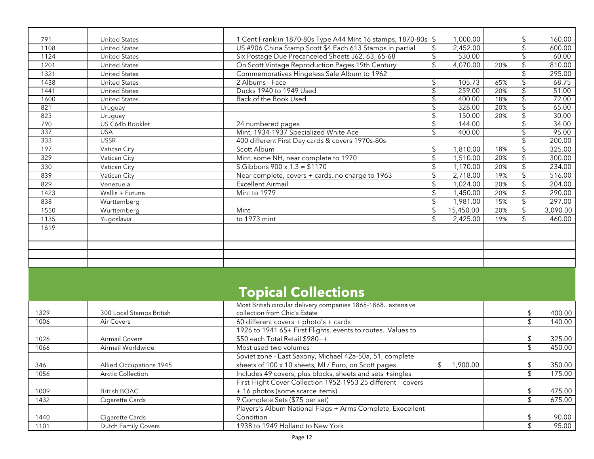| 791  | <b>United States</b> | 1 Cent Franklin 1870-80s Type A44 Mint 16 stamps, 1870-80s   \$ |                | 1,000.00  |     | \$             | 160.00   |
|------|----------------------|-----------------------------------------------------------------|----------------|-----------|-----|----------------|----------|
| 1108 | <b>United States</b> | US #906 China Stamp Scott \$4 Each 613 Stamps in partial        | \$             | 2,452.00  |     | \$             | 600.00   |
| 1124 | <b>United States</b> | Six Postage Due Precanceled Sheets J62, 63, 65-68               | \$.            | 530.00    |     | \$.            | 60.00    |
| 1201 | <b>United States</b> | On Scott Vintage Reproduction Pages 19th Century                | \$             | 4,070.00  | 20% | $\mathfrak{L}$ | 810.00   |
| 1321 | <b>United States</b> | Commemoratives Hingeless Safe Album to 1962                     |                |           |     | \$.            | 295.00   |
| 1438 | <b>United States</b> | 2 Albums - Face                                                 |                | 105.73    | 65% | $\mathfrak{L}$ | 68.75    |
| 1441 | <b>United States</b> | Ducks 1940 to 1949 Used                                         |                | 259.00    | 20% | \$             | 51.00    |
| 1600 | <b>United States</b> | Back of the Book Used                                           |                | 400.00    | 18% | \$             | 72.00    |
| 821  | Uruguay              |                                                                 |                | 328.00    | 20% | \$             | 65.00    |
| 823  | Uruguay              |                                                                 |                | 150.00    | 20% | $\mathfrak{L}$ | 30.00    |
| 790  | US C64b Booklet      | 24 numbered pages                                               |                | 144.00    |     | \$.            | 34.00    |
| 337  | <b>USA</b>           | Mint, 1934-1937 Specialized White Ace                           |                | 400.00    |     | $\mathfrak{L}$ | 95.00    |
| 333  | <b>USSR</b>          | 400 different First Day cards & covers 1970s-80s                |                |           |     | \$             | 200.00   |
| 197  | Vatican City         | Scott Album                                                     | $\mathfrak{L}$ | 1,810.00  | 18% | \$             | 325.00   |
| 329  | Vatican City         | Mint, some NH, near complete to 1970                            | \$             | 1,510.00  | 20% | $\sqrt{2}$     | 300.00   |
| 330  | Vatican City         | S.Gibbons $900 \times 1.3 = $1170$                              | \$             | 1,170.00  | 20% | \$             | 234.00   |
| 839  | Vatican City         | Near complete, covers + cards, no charge to 1963                | \$             | 2,718.00  | 19% | \$             | 516.00   |
| 829  | Venezuela            | <b>Excellent Airmail</b>                                        | \$             | 1,024.00  | 20% | \$             | 204.00   |
| 1423 | Wallis + Futuna      | Mint to 1979                                                    | \$             | 1,450.00  | 20% | $\sqrt{2}$     | 290.00   |
| 838  | Wurttemberg          |                                                                 | \$             | 1,981.00  | 15% | \$             | 297.00   |
| 1550 | Wurttemberg          | Mint                                                            | \$             | 15,450.00 | 20% | $\mathfrak{L}$ | 3,090.00 |
| 1135 | Yugoslavia           | to 1973 mint                                                    | $\mathfrak{L}$ | 2,425.00  | 19% | \$             | 460.00   |
| 1619 |                      |                                                                 |                |           |     |                |          |
|      |                      |                                                                 |                |           |     |                |          |
|      |                      |                                                                 |                |           |     |                |          |
|      |                      |                                                                 |                |           |     |                |          |
|      |                      |                                                                 |                |           |     |                |          |
|      |                      |                                                                 |                |           |     |                |          |

## **Topical Collections**

|      |                            | Most British circular delivery companies 1865-1868. extensive |         |    |        |
|------|----------------------------|---------------------------------------------------------------|---------|----|--------|
| 1329 | 300 Local Stamps British   | collection from Chic's Estate                                 |         | \$ | 400.00 |
| 1006 | Air Covers                 | 60 different covers + photo's + cards                         |         |    | 140.00 |
|      |                            | 1926 to 1941 65+ First Flights, events to routes. Values to   |         |    |        |
| 1026 | Airmail Covers             | \$50 each Total Retail \$980++                                |         |    | 325.00 |
| 1066 | Airmail Worldwide          | Most used two volumes                                         |         |    | 450.00 |
|      |                            | Soviet zone - East Saxony, Michael 42a-50a, 51, complete      |         |    |        |
| 346  | Allied Occupations 1945    | sheets of 100 x 10 sheets, MI / Euro, on Scott pages          | .900.00 |    | 350.00 |
| 1056 | <b>Arctic Collection</b>   | Includes 49 covers, plus blocks, sheets and sets +singles     |         |    | 175.00 |
|      |                            | First Flight Cover Collection 1952-1953 25 different covers   |         |    |        |
| 1009 | <b>British BOAC</b>        | + 16 photos (some scarce items)                               |         |    | 475.00 |
| 1432 | Cigarette Cards            | 9 Complete Sets (\$75 per set)                                |         |    | 675.00 |
|      |                            | Players's Album National Flags + Arms Complete, Execellent    |         |    |        |
| 1440 | Cigarette Cards            | Condition                                                     |         |    | 90.00  |
| 1101 | <b>Dutch Family Covers</b> | 1938 to 1949 Holland to New York                              |         |    | 95.00  |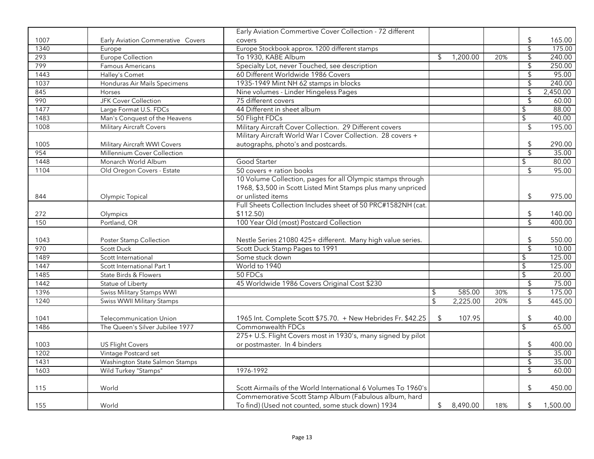|      |                                   | Early Aviation Commertive Cover Collection - 72 different     |                |     |                           |                   |
|------|-----------------------------------|---------------------------------------------------------------|----------------|-----|---------------------------|-------------------|
| 1007 | Early Aviation Commerative Covers | covers                                                        |                |     | \$                        | 165.00            |
| 1340 | Europe                            | Europe Stockbook approx. 1200 different stamps                |                |     | $\overline{\mathcal{L}}$  | 175.00            |
| 293  | Europe Collection                 | To 1930, KABE Album                                           | \$<br>1,200.00 | 20% | $\overline{\mathcal{G}}$  | 240.00            |
| 799  | Famous Americans                  | Specialty Lot, never Touched, see description                 |                |     | $\overline{\mathcal{L}}$  | 250.00            |
| 1443 | Halley's Comet                    | 60 Different Worldwide 1986 Covers                            |                |     | $\overline{\mathcal{L}}$  | 95.00             |
| 1037 | Honduras Air Mails Specimens      | 1935-1949 Mint NH 62 stamps in blocks                         |                |     | $\sqrt[6]{\frac{1}{2}}$   | 240.00            |
| 845  | Horses                            | Nine volumes - Linder Hingeless Pages                         |                |     | $\overline{\mathcal{G}}$  | 2,450.00          |
| 990  | <b>JFK Cover Collection</b>       | 75 different covers                                           |                |     | $\mathfrak{L}$            | 60.00             |
| 1477 | Large Format U.S. FDCs            | 44 Different in sheet album                                   |                |     | \$                        | 88.00             |
| 1483 | Man's Conquest of the Heavens     | 50 Flight FDCs                                                |                |     | $\overline{\mathcal{L}}$  | $\frac{1}{40.00}$ |
| 1008 | Military Aircraft Covers          | Military Aircraft Cover Collection. 29 Different covers       |                |     | \$                        | 195.00            |
|      |                                   | Military Aircraft World War I Cover Collection. 28 covers +   |                |     |                           |                   |
| 1005 | Military Aircraft WWI Covers      | autographs, photo's and postcards.                            |                |     | \$                        | 290.00            |
| 954  | Millennium Cover Collection       |                                                               |                |     | $\overline{\mathcal{L}}$  | 35.00             |
| 1448 | Monarch World Album               | Good Starter                                                  |                |     | \$                        | 80.00             |
| 1104 | Old Oregon Covers - Estate        | 50 covers + ration books                                      |                |     | $\sqrt[6]{\frac{1}{2}}$   | 95.00             |
|      |                                   | 10 Volume Collection, pages for all Olympic stamps through    |                |     |                           |                   |
|      |                                   | 1968, \$3,500 in Scott Listed Mint Stamps plus many unpriced  |                |     |                           |                   |
| 844  | Olympic Topical                   | or unlisted items                                             |                |     | $\sqrt{2}$                | 975.00            |
|      |                                   | Full Sheets Collection Includes sheet of 50 PRC#1582NH (cat.  |                |     |                           |                   |
| 272  | Olympics                          | \$112.50)                                                     |                |     | $\updownarrow$            | 140.00            |
| 150  | Portland, OR                      | 100 Year Old (most) Postcard Collection                       |                |     | $\overline{\mathsf{S}}$   | 400.00            |
|      |                                   |                                                               |                |     |                           |                   |
| 1043 | Poster Stamp Collection           | Nestle Series 21080 425+ different. Many high value series.   |                |     | \$                        | 550.00            |
| 970  | Scott Duck                        | Scott Duck Stamp Pages to 1991                                |                |     | $\overline{\mathcal{S}}$  | 10.00             |
| 1489 | Scott International               | Some stuck down                                               |                |     | \$                        | 125.00            |
| 1447 | Scott International Part 1        | World to 1940                                                 |                |     | $\overline{\mathcal{L}}$  | 125.00            |
| 1485 | State Birds & Flowers             | 50 FDCs                                                       |                |     | $\overline{\mathcal{G}}$  | 20.00             |
| 1442 | Statue of Liberty                 | 45 Worldwide 1986 Covers Original Cost \$230                  |                |     | \$                        | 75.00             |
| 1396 | <b>Swiss Military Stamps WWI</b>  |                                                               | \$<br>585.00   | 30% | $\overline{\mathcal{G}}$  | 175.00            |
| 1240 | <b>Swiss WWII Military Stamps</b> |                                                               | \$<br>2,225.00 | 20% | $\overline{\mathcal{L}}$  | 445.00            |
|      |                                   |                                                               |                |     |                           |                   |
| 1041 | <b>Telecommunication Union</b>    | 1965 Int. Complete Scott \$75.70. + New Hebrides Fr. \$42.25  | \$<br>107.95   |     | \$                        | 40.00             |
| 1486 | The Queen's Silver Jubilee 1977   | Commonwealth FDCs                                             |                |     | $\overline{\mathfrak{s}}$ | 65.00             |
|      |                                   | 275+ U.S. Flight Covers most in 1930's, many signed by pilot  |                |     |                           |                   |
| 1003 | <b>US Flight Covers</b>           | or postmaster. In 4 binders                                   |                |     | $\sqrt[6]{\frac{1}{2}}$   | 400.00            |
| 1202 | Vintage Postcard set              |                                                               |                |     | $\overline{\mathcal{S}}$  | 35.00             |
| 1431 | Washington State Salmon Stamps    |                                                               |                |     | $\overline{\mathcal{L}}$  | 35.00             |
| 1603 | Wild Turkey "Stamps"              | 1976-1992                                                     |                |     | $\overline{\mathcal{S}}$  | 60.00             |
|      |                                   |                                                               |                |     |                           |                   |
| 115  | World                             | Scott Airmails of the World International 6 Volumes To 1960's |                |     | $\sqrt[6]{\frac{1}{2}}$   | 450.00            |
|      |                                   | Commemorative Scott Stamp Album (Fabulous album, hard         |                |     |                           |                   |
| 155  | World                             | To find) (Used not counted, some stuck down) 1934             | \$<br>8,490.00 | 18% | \$                        | 1,500.00          |